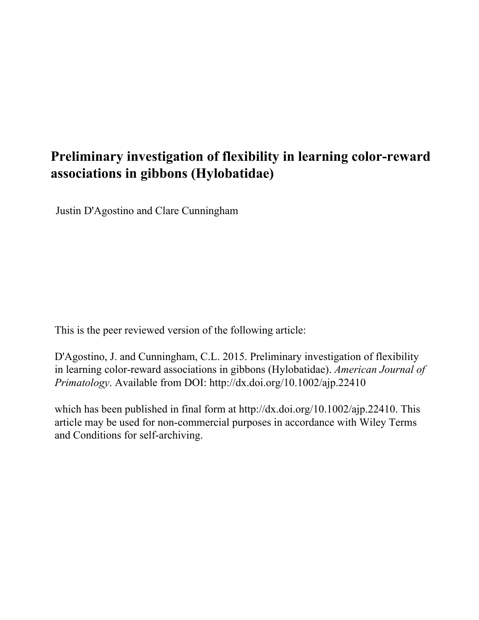# **Preliminary investigation of flexibility in learning color-reward associations in gibbons (Hylobatidae)**

Justin D'Agostino and Clare Cunningham

This is the peer reviewed version of the following article:

D'Agostino, J. and Cunningham, C.L. 2015. Preliminary investigation of flexibility in learning color-reward associations in gibbons (Hylobatidae). *American Journal of Primatology*. 77(8): pp.854-868. Available from DOI: http://dx.doi.org/10.1002/ ajp.22410

which has been published in final form at http://dx.doi.org/10.1002/ajp.22410. This article may be used for non-commercial purposes in accordance with Wiley Terms and Conditions for self-archiving.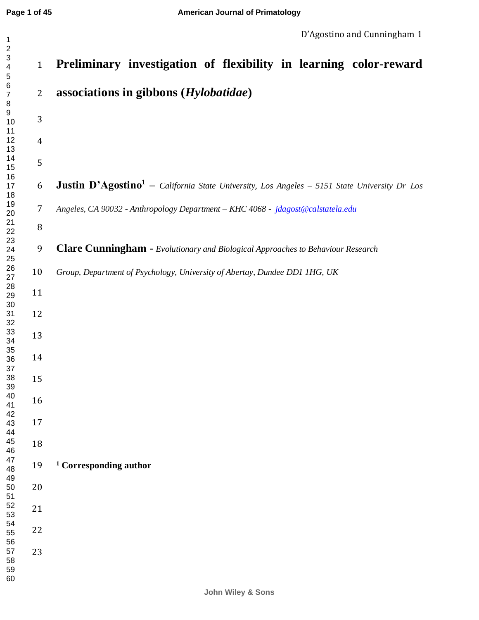| $\overline{c}$<br>$\ensuremath{\mathsf{3}}$<br>$\overline{\mathbf{4}}$<br>$\,$ 5 $\,$ | $\mathbf{1}$     | Preliminary investigation of flexibility in learning color-reward                                              |
|---------------------------------------------------------------------------------------|------------------|----------------------------------------------------------------------------------------------------------------|
| $\,6$<br>$\boldsymbol{7}$<br>$\, 8$                                                   | $\mathbf{2}$     | associations in gibbons (Hylobatidae)                                                                          |
| 9<br>10<br>11                                                                         | 3                |                                                                                                                |
| 12<br>13                                                                              | $\overline{4}$   |                                                                                                                |
| 14<br>15<br>16                                                                        | 5                |                                                                                                                |
| 17<br>18                                                                              | 6                | <b>Justin D'Agostino<sup>1</sup></b> - California State University, Los Angeles - 5151 State University Dr Los |
| 19<br>20<br>21                                                                        | $\boldsymbol{7}$ | Angeles, CA 90032 - Anthropology Department - KHC 4068 - jdagost@calstatela.edu                                |
| 22                                                                                    | $\, 8$           |                                                                                                                |
| 23<br>24<br>25                                                                        | 9                | Clare Cunningham - Evolutionary and Biological Approaches to Behaviour Research                                |
| 26<br>27<br>28                                                                        | 10               | Group, Department of Psychology, University of Abertay, Dundee DD1 1HG, UK                                     |
| 29<br>30                                                                              | 11               |                                                                                                                |
| 31<br>32                                                                              | 12               |                                                                                                                |
| 33<br>34<br>35                                                                        | 13               |                                                                                                                |
| 36<br>37                                                                              | 14               |                                                                                                                |
| 38<br>39<br>40                                                                        | 15               |                                                                                                                |
| 41<br>42                                                                              | 16               |                                                                                                                |
| 43<br>44                                                                              | 17               |                                                                                                                |
| 45<br>46<br>47                                                                        | 18               |                                                                                                                |
| 48<br>49                                                                              | 19               | <sup>1</sup> Corresponding author                                                                              |
| 50<br>51                                                                              | $20\,$           |                                                                                                                |
| 52<br>53<br>54                                                                        | 21               |                                                                                                                |
| 55<br>56                                                                              | 22               |                                                                                                                |
| 57<br>58<br>59<br>60                                                                  | 23               |                                                                                                                |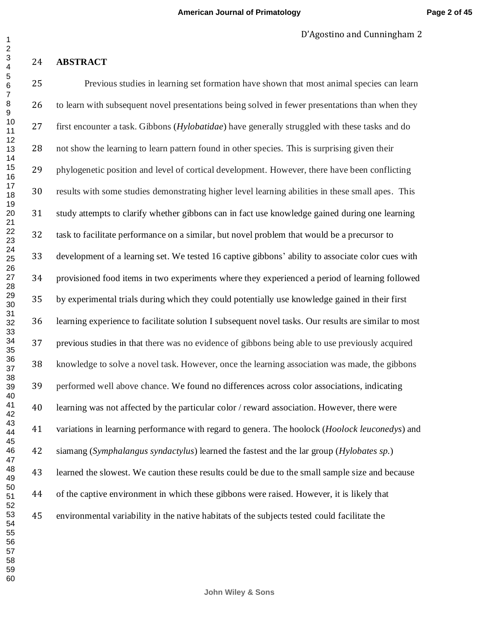## **ABSTRACT**

 Previous studies in learning set formation have shown that most animal species can learn to learn with subsequent novel presentations being solved in fewer presentations than when they first encounter a task. Gibbons (*Hylobatidae*) have generally struggled with these tasks and do not show the learning to learn pattern found in other species. This is surprising given their phylogenetic position and level of cortical development. However, there have been conflicting results with some studies demonstrating higher level learning abilities in these small apes. This study attempts to clarify whether gibbons can in fact use knowledge gained during one learning task to facilitate performance on a similar, but novel problem that would be a precursor to development of a learning set. We tested 16 captive gibbons' ability to associate color cues with provisioned food items in two experiments where they experienced a period of learning followed by experimental trials during which they could potentially use knowledge gained in their first learning experience to facilitate solution I subsequent novel tasks. Our results are similar to most previous studies in that there was no evidence of gibbons being able to use previously acquired knowledge to solve a novel task. However, once the learning association was made, the gibbons performed well above chance. We found no differences across color associations, indicating learning was not affected by the particular color / reward association. However, there were variations in learning performance with regard to genera. The hoolock (*Hoolock leuconedys*) and siamang (*Symphalangus syndactylus*) learned the fastest and the lar group (*Hylobates sp.*) learned the slowest. We caution these results could be due to the small sample size and because of the captive environment in which these gibbons were raised. However, it is likely that environmental variability in the native habitats of the subjects tested could facilitate the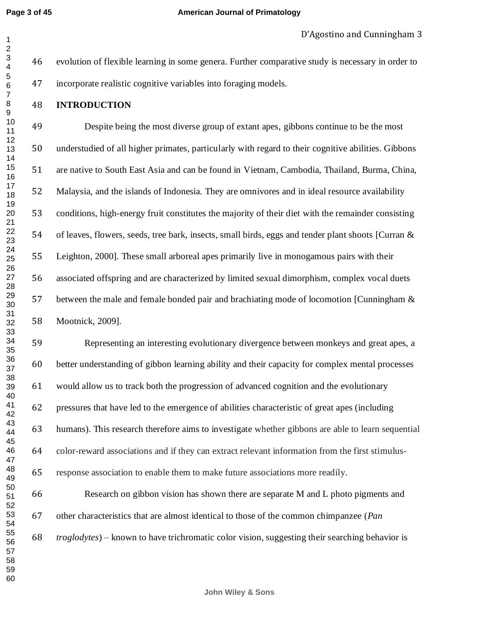**American Journal of Primatology**

## **INTRODUCTION**

 Despite being the most diverse group of extant apes, gibbons continue to be the most understudied of all higher primates, particularly with regard to their cognitive abilities. Gibbons are native to South East Asia and can be found in Vietnam, Cambodia, Thailand, Burma, China, Malaysia, and the islands of Indonesia. They are omnivores and in ideal resource availability conditions, high-energy fruit constitutes the majority of their diet with the remainder consisting of leaves, flowers, seeds, tree bark, insects, small birds, eggs and tender plant shoots [Curran & Leighton, 2000]. These small arboreal apes primarily live in monogamous pairs with their associated offspring and are characterized by limited sexual dimorphism, complex vocal duets between the male and female bonded pair and brachiating mode of locomotion [Cunningham & Mootnick, 2009].

 Representing an interesting evolutionary divergence between monkeys and great apes, a better understanding of gibbon learning ability and their capacity for complex mental processes would allow us to track both the progression of advanced cognition and the evolutionary pressures that have led to the emergence of abilities characteristic of great apes (including humans). This research therefore aims to investigate whether gibbons are able to learn sequential color-reward associations and if they can extract relevant information from the first stimulus-response association to enable them to make future associations more readily.

 Research on gibbon vision has shown there are separate M and L photo pigments and other characteristics that are almost identical to those of the common chimpanzee (*Pan troglodytes*) – known to have trichromatic color vision, suggesting their searching behavior is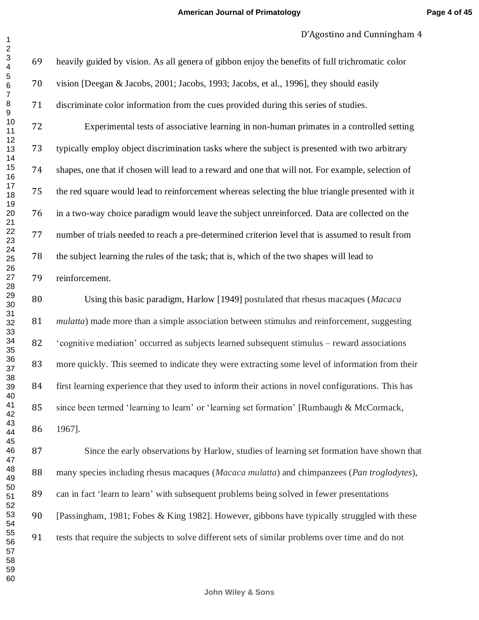heavily guided by vision. As all genera of gibbon enjoy the benefits of full trichromatic color vision [Deegan & Jacobs, 2001; Jacobs, 1993; Jacobs, et al., 1996], they should easily discriminate color information from the cues provided during this series of studies.

 Experimental tests of associative learning in non-human primates in a controlled setting typically employ object discrimination tasks where the subject is presented with two arbitrary shapes, one that if chosen will lead to a reward and one that will not. For example, selection of the red square would lead to reinforcement whereas selecting the blue triangle presented with it in a two-way choice paradigm would leave the subject unreinforced. Data are collected on the number of trials needed to reach a pre-determined criterion level that is assumed to result from the subject learning the rules of the task; that is, which of the two shapes will lead to reinforcement.

 Using this basic paradigm, Harlow [1949] postulated that rhesus macaques (*Macaca mulatta*) made more than a simple association between stimulus and reinforcement, suggesting 'cognitive mediation' occurred as subjects learned subsequent stimulus – reward associations more quickly. This seemed to indicate they were extracting some level of information from their first learning experience that they used to inform their actions in novel configurations. This has since been termed 'learning to learn' or 'learning set formation' [Rumbaugh & McCormack, 1967].

 Since the early observations by Harlow, studies of learning set formation have shown that many species including rhesus macaques (*Macaca mulatta*) and chimpanzees (*Pan troglodytes*), can in fact 'learn to learn' with subsequent problems being solved in fewer presentations [Passingham, 1981; Fobes & King 1982]. However, gibbons have typically struggled with these tests that require the subjects to solve different sets of similar problems over time and do not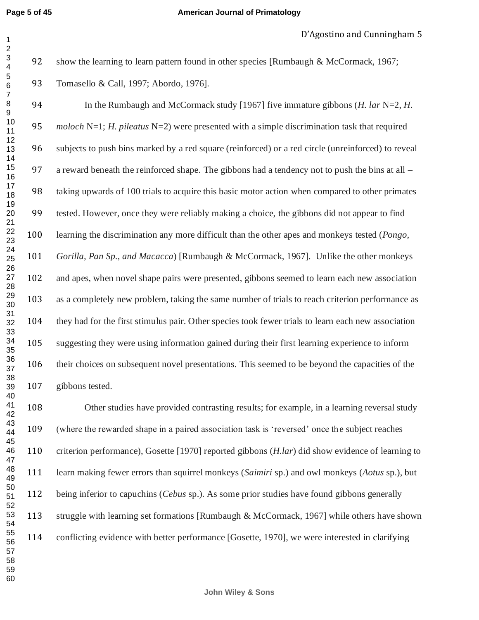#### **American Journal of Primatology**

92 show the learning to learn pattern found in other species [Rumbaugh & McCormack, 1967; Tomasello & Call, 1997; Abordo, 1976].

 In the Rumbaugh and McCormack study [1967] five immature gibbons (*H. lar* N=2, *H. moloch* N=1; *H. pileatus* N=2) were presented with a simple discrimination task that required subjects to push bins marked by a red square (reinforced) or a red circle (unreinforced) to reveal 97 a reward beneath the reinforced shape. The gibbons had a tendency not to push the bins at all – taking upwards of 100 trials to acquire this basic motor action when compared to other primates tested. However, once they were reliably making a choice, the gibbons did not appear to find learning the discrimination any more difficult than the other apes and monkeys tested (*Pongo, Gorilla, Pan Sp., and Macacca*) [Rumbaugh & McCormack, 1967]. Unlike the other monkeys and apes, when novel shape pairs were presented, gibbons seemed to learn each new association as a completely new problem, taking the same number of trials to reach criterion performance as they had for the first stimulus pair. Other species took fewer trials to learn each new association suggesting they were using information gained during their first learning experience to inform their choices on subsequent novel presentations. This seemed to be beyond the capacities of the gibbons tested. 

 Other studies have provided contrasting results; for example, in a learning reversal study (where the rewarded shape in a paired association task is 'reversed' once the subject reaches criterion performance), Gosette [1970] reported gibbons (*H.lar*) did show evidence of learning to learn making fewer errors than squirrel monkeys (*Saimiri* sp.) and owl monkeys (*Aotus* sp.), but being inferior to capuchins (*Cebus* sp.). As some prior studies have found gibbons generally struggle with learning set formations [Rumbaugh & McCormack, 1967] while others have shown conflicting evidence with better performance [Gosette, 1970], we were interested in clarifying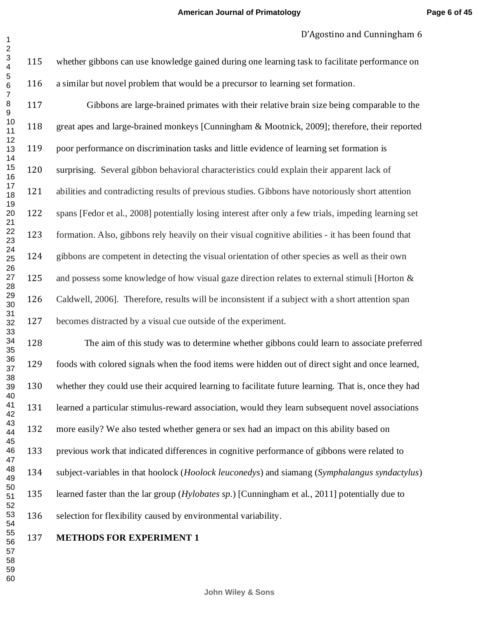whether gibbons can use knowledge gained during one learning task to facilitate performance on a similar but novel problem that would be a precursor to learning set formation.

 Gibbons are large-brained primates with their relative brain size being comparable to the great apes and large-brained monkeys [Cunningham & Mootnick, 2009]; therefore, their reported poor performance on discrimination tasks and little evidence of learning set formation is surprising. Several gibbon behavioral characteristics could explain their apparent lack of abilities and contradicting results of previous studies. Gibbons have notoriously short attention spans [Fedor et al., 2008] potentially losing interest after only a few trials, impeding learning set formation. Also, gibbons rely heavily on their visual cognitive abilities - it has been found that gibbons are competent in detecting the visual orientation of other species as well as their own 125 and possess some knowledge of how visual gaze direction relates to external stimuli [Horton & Caldwell, 2006]. Therefore, results will be inconsistent if a subject with a short attention span becomes distracted by a visual cue outside of the experiment.

 The aim of this study was to determine whether gibbons could learn to associate preferred foods with colored signals when the food items were hidden out of direct sight and once learned, whether they could use their acquired learning to facilitate future learning. That is, once they had learned a particular stimulus-reward association, would they learn subsequent novel associations more easily? We also tested whether genera or sex had an impact on this ability based on previous work that indicated differences in cognitive performance of gibbons were related to subject-variables in that hoolock (*Hoolock leuconedys*) and siamang (*Symphalangus syndactylus*) learned faster than the lar group (*Hylobates sp.*) [Cunningham et al., 2011] potentially due to selection for flexibility caused by environmental variability.

## **METHODS FOR EXPERIMENT 1**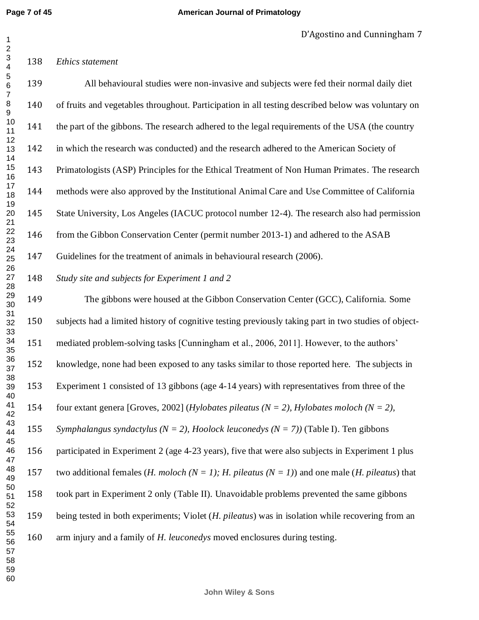#### *Ethics statement*

 

 All behavioural studies were non-invasive and subjects were fed their normal daily diet of fruits and vegetables throughout. Participation in all testing described below was voluntary on 141 the part of the gibbons. The research adhered to the legal requirements of the USA (the country in which the research was conducted) and the research adhered to the American Society of Primatologists (ASP) Principles for the Ethical Treatment of Non Human Primates. The research methods were also approved by the Institutional Animal Care and Use Committee of California State University, Los Angeles (IACUC protocol number 12-4). The research also had permission from the Gibbon Conservation Center (permit number 2013-1) and adhered to the ASAB Guidelines for the treatment of animals in behavioural research (2006). *Study site and subjects for Experiment 1 and 2*  The gibbons were housed at the Gibbon Conservation Center (GCC), California. Some subjects had a limited history of cognitive testing previously taking part in two studies of object- mediated problem-solving tasks [Cunningham et al., 2006, 2011]. However, to the authors' knowledge, none had been exposed to any tasks similar to those reported here. The subjects in Experiment 1 consisted of 13 gibbons (age 4-14 years) with representatives from three of the four extant genera [Groves, 2002] (*Hylobates pileatus (N = 2), Hylobates moloch (N = 2), Symphalangus syndactylus (N = 2), Hoolock leuconedys (N = 7))* (Table I). Ten gibbons participated in Experiment 2 (age 4-23 years), five that were also subjects in Experiment 1 plus two additional females (*H. moloch (N = 1); H. pileatus (N = 1)*) and one male (*H. pileatus*) that took part in Experiment 2 only (Table II). Unavoidable problems prevented the same gibbons being tested in both experiments; Violet (*H. pileatus*) was in isolation while recovering from an arm injury and a family of *H. leuconedys* moved enclosures during testing.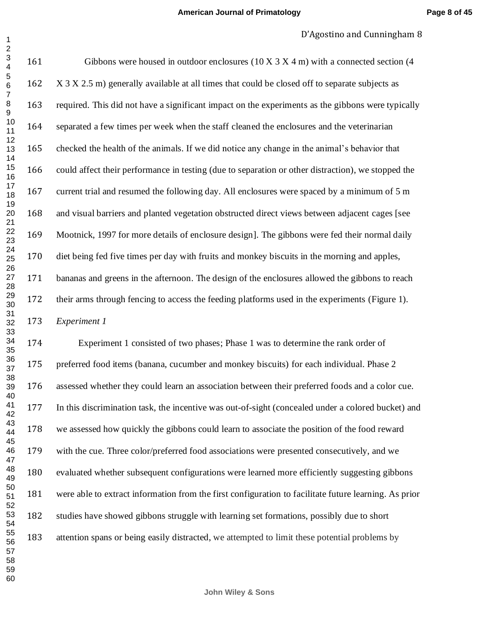161 Gibbons were housed in outdoor enclosures  $(10 \times 3 \times 4 \text{ m})$  with a connected section (4 162 X 3 X 2.5 m) generally available at all times that could be closed off to separate subjects as required. This did not have a significant impact on the experiments as the gibbons were typically separated a few times per week when the staff cleaned the enclosures and the veterinarian checked the health of the animals. If we did notice any change in the animal's behavior that could affect their performance in testing (due to separation or other distraction), we stopped the current trial and resumed the following day. All enclosures were spaced by a minimum of 5 m and visual barriers and planted vegetation obstructed direct views between adjacent cages [see Mootnick, 1997 for more details of enclosure design]. The gibbons were fed their normal daily diet being fed five times per day with fruits and monkey biscuits in the morning and apples, bananas and greens in the afternoon. The design of the enclosures allowed the gibbons to reach their arms through fencing to access the feeding platforms used in the experiments (Figure 1). *Experiment 1* 

 Experiment 1 consisted of two phases; Phase 1 was to determine the rank order of preferred food items (banana, cucumber and monkey biscuits) for each individual. Phase 2 assessed whether they could learn an association between their preferred foods and a color cue. In this discrimination task, the incentive was out-of-sight (concealed under a colored bucket) and we assessed how quickly the gibbons could learn to associate the position of the food reward with the cue. Three color/preferred food associations were presented consecutively, and we evaluated whether subsequent configurations were learned more efficiently suggesting gibbons were able to extract information from the first configuration to facilitate future learning. As prior studies have showed gibbons struggle with learning set formations, possibly due to short attention spans or being easily distracted, we attempted to limit these potential problems by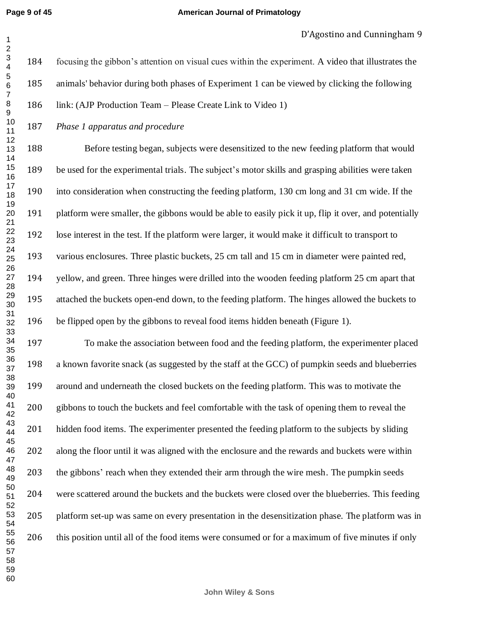#### **American Journal of Primatology**

 focusing the gibbon's attention on visual cues within the experiment. A video that illustrates the animals' behavior during both phases of Experiment 1 can be viewed by clicking the following link: (AJP Production Team – Please Create Link to Video 1)

*Phase 1 apparatus and procedure* 

 Before testing began, subjects were desensitized to the new feeding platform that would be used for the experimental trials. The subject's motor skills and grasping abilities were taken into consideration when constructing the feeding platform, 130 cm long and 31 cm wide. If the platform were smaller, the gibbons would be able to easily pick it up, flip it over, and potentially lose interest in the test. If the platform were larger, it would make it difficult to transport to various enclosures. Three plastic buckets, 25 cm tall and 15 cm in diameter were painted red, yellow, and green. Three hinges were drilled into the wooden feeding platform 25 cm apart that attached the buckets open-end down, to the feeding platform. The hinges allowed the buckets to be flipped open by the gibbons to reveal food items hidden beneath (Figure 1).

 To make the association between food and the feeding platform, the experimenter placed a known favorite snack (as suggested by the staff at the GCC) of pumpkin seeds and blueberries around and underneath the closed buckets on the feeding platform. This was to motivate the gibbons to touch the buckets and feel comfortable with the task of opening them to reveal the hidden food items. The experimenter presented the feeding platform to the subjects by sliding along the floor until it was aligned with the enclosure and the rewards and buckets were within the gibbons' reach when they extended their arm through the wire mesh. The pumpkin seeds were scattered around the buckets and the buckets were closed over the blueberries. This feeding platform set-up was same on every presentation in the desensitization phase. The platform was in this position until all of the food items were consumed or for a maximum of five minutes if only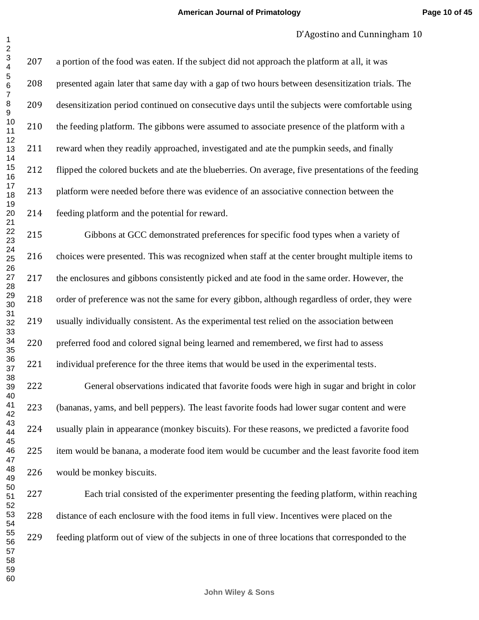a portion of the food was eaten. If the subject did not approach the platform at all, it was presented again later that same day with a gap of two hours between desensitization trials. The desensitization period continued on consecutive days until the subjects were comfortable using the feeding platform. The gibbons were assumed to associate presence of the platform with a reward when they readily approached, investigated and ate the pumpkin seeds, and finally flipped the colored buckets and ate the blueberries. On average, five presentations of the feeding platform were needed before there was evidence of an associative connection between the feeding platform and the potential for reward.

 Gibbons at GCC demonstrated preferences for specific food types when a variety of choices were presented. This was recognized when staff at the center brought multiple items to the enclosures and gibbons consistently picked and ate food in the same order. However, the order of preference was not the same for every gibbon, although regardless of order, they were usually individually consistent. As the experimental test relied on the association between preferred food and colored signal being learned and remembered, we first had to assess individual preference for the three items that would be used in the experimental tests.

 General observations indicated that favorite foods were high in sugar and bright in color (bananas, yams, and bell peppers). The least favorite foods had lower sugar content and were usually plain in appearance (monkey biscuits). For these reasons, we predicted a favorite food item would be banana, a moderate food item would be cucumber and the least favorite food item would be monkey biscuits.

 Each trial consisted of the experimenter presenting the feeding platform, within reaching distance of each enclosure with the food items in full view. Incentives were placed on the feeding platform out of view of the subjects in one of three locations that corresponded to the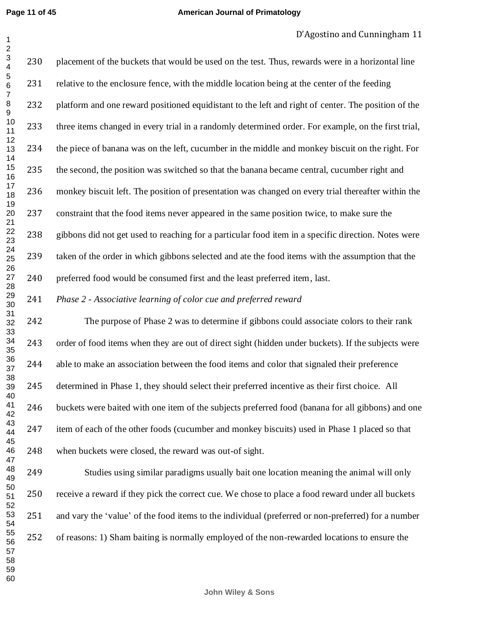230 placement of the buckets that would be used on the test. Thus, rewards were in a horizontal line relative to the enclosure fence, with the middle location being at the center of the feeding 232 platform and one reward positioned equidistant to the left and right of center. The position of the three items changed in every trial in a randomly determined order. For example, on the first trial, the piece of banana was on the left, cucumber in the middle and monkey biscuit on the right. For the second, the position was switched so that the banana became central, cucumber right and monkey biscuit left. The position of presentation was changed on every trial thereafter within the constraint that the food items never appeared in the same position twice, to make sure the gibbons did not get used to reaching for a particular food item in a specific direction. Notes were taken of the order in which gibbons selected and ate the food items with the assumption that the preferred food would be consumed first and the least preferred item, last. *Phase 2 - Associative learning of color cue and preferred reward*  

 The purpose of Phase 2 was to determine if gibbons could associate colors to their rank order of food items when they are out of direct sight (hidden under buckets). If the subjects were able to make an association between the food items and color that signaled their preference determined in Phase 1, they should select their preferred incentive as their first choice. All buckets were baited with one item of the subjects preferred food (banana for all gibbons) and one item of each of the other foods (cucumber and monkey biscuits) used in Phase 1 placed so that when buckets were closed, the reward was out-of sight.

 Studies using similar paradigms usually bait one location meaning the animal will only receive a reward if they pick the correct cue. We chose to place a food reward under all buckets and vary the 'value' of the food items to the individual (preferred or non-preferred) for a number of reasons: 1) Sham baiting is normally employed of the non-rewarded locations to ensure the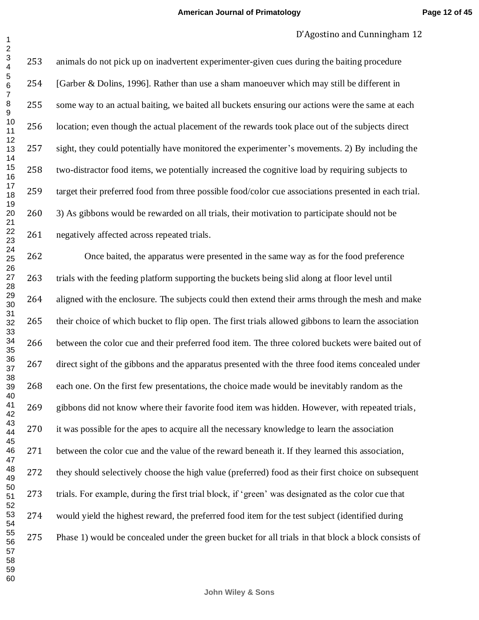animals do not pick up on inadvertent experimenter-given cues during the baiting procedure 254 [Garber & Dolins, 1996]. Rather than use a sham manoeuver which may still be different in some way to an actual baiting, we baited all buckets ensuring our actions were the same at each location; even though the actual placement of the rewards took place out of the subjects direct sight, they could potentially have monitored the experimenter's movements. 2) By including the two-distractor food items, we potentially increased the cognitive load by requiring subjects to target their preferred food from three possible food/color cue associations presented in each trial. 3) As gibbons would be rewarded on all trials, their motivation to participate should not be negatively affected across repeated trials.

 Once baited, the apparatus were presented in the same way as for the food preference trials with the feeding platform supporting the buckets being slid along at floor level until aligned with the enclosure. The subjects could then extend their arms through the mesh and make their choice of which bucket to flip open. The first trials allowed gibbons to learn the association between the color cue and their preferred food item. The three colored buckets were baited out of direct sight of the gibbons and the apparatus presented with the three food items concealed under each one. On the first few presentations, the choice made would be inevitably random as the gibbons did not know where their favorite food item was hidden. However, with repeated trials, it was possible for the apes to acquire all the necessary knowledge to learn the association between the color cue and the value of the reward beneath it. If they learned this association, they should selectively choose the high value (preferred) food as their first choice on subsequent trials. For example, during the first trial block, if 'green' was designated as the color cue that would yield the highest reward, the preferred food item for the test subject (identified during Phase 1) would be concealed under the green bucket for all trials in that block a block consists of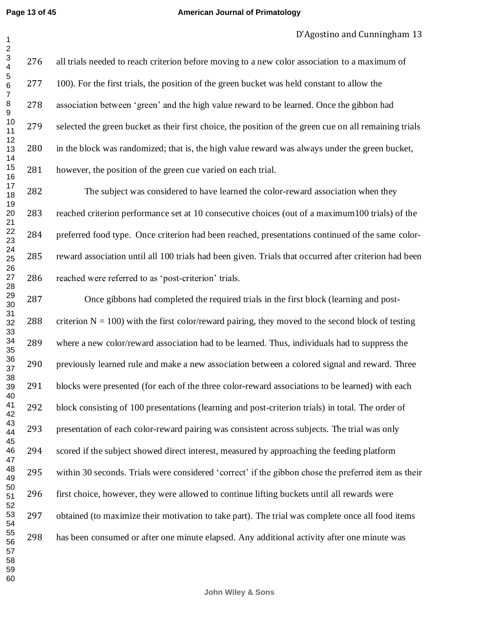#### **American Journal of Primatology**

 all trials needed to reach criterion before moving to a new color association to a maximum of 277 100). For the first trials, the position of the green bucket was held constant to allow the association between 'green' and the high value reward to be learned. Once the gibbon had selected the green bucket as their first choice, the position of the green cue on all remaining trials in the block was randomized; that is, the high value reward was always under the green bucket, however, the position of the green cue varied on each trial.

 The subject was considered to have learned the color-reward association when they reached criterion performance set at 10 consecutive choices (out of a maximum100 trials) of the preferred food type. Once criterion had been reached, presentations continued of the same color- reward association until all 100 trials had been given. Trials that occurred after criterion had been reached were referred to as 'post-criterion' trials.

 Once gibbons had completed the required trials in the first block (learning and post-288 criterion  $N = 100$ ) with the first color/reward pairing, they moved to the second block of testing where a new color/reward association had to be learned. Thus, individuals had to suppress the previously learned rule and make a new association between a colored signal and reward. Three blocks were presented (for each of the three color-reward associations to be learned) with each block consisting of 100 presentations (learning and post-criterion trials) in total. The order of presentation of each color-reward pairing was consistent across subjects. The trial was only scored if the subject showed direct interest, measured by approaching the feeding platform within 30 seconds. Trials were considered 'correct' if the gibbon chose the preferred item as their first choice, however, they were allowed to continue lifting buckets until all rewards were obtained (to maximize their motivation to take part). The trial was complete once all food items has been consumed or after one minute elapsed. Any additional activity after one minute was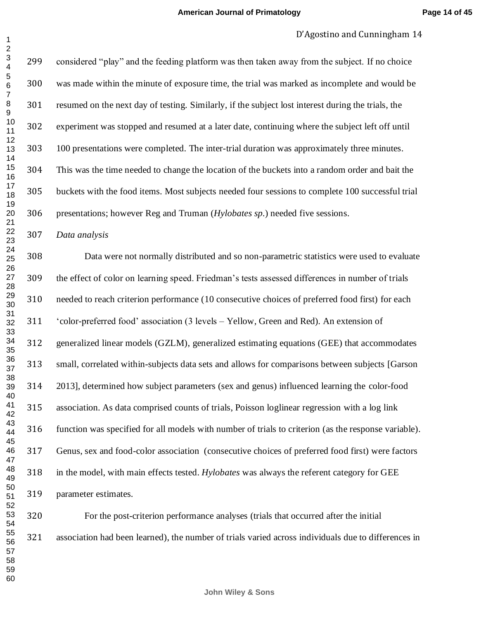considered "play" and the feeding platform was then taken away from the subject. If no choice was made within the minute of exposure time, the trial was marked as incomplete and would be resumed on the next day of testing. Similarly, if the subject lost interest during the trials, the experiment was stopped and resumed at a later date, continuing where the subject left off until 100 presentations were completed. The inter-trial duration was approximately three minutes. This was the time needed to change the location of the buckets into a random order and bait the buckets with the food items. Most subjects needed four sessions to complete 100 successful trial presentations; however Reg and Truman (*Hylobates sp.*) needed five sessions.

*Data analysis*

 Data were not normally distributed and so non-parametric statistics were used to evaluate the effect of color on learning speed. Friedman's tests assessed differences in number of trials needed to reach criterion performance (10 consecutive choices of preferred food first) for each 'color-preferred food' association (3 levels – Yellow, Green and Red). An extension of generalized linear models (GZLM), generalized estimating equations (GEE) that accommodates small, correlated within-subjects data sets and allows for comparisons between subjects [Garson 2013], determined how subject parameters (sex and genus) influenced learning the color-food association. As data comprised counts of trials, Poisson loglinear regression with a log link function was specified for all models with number of trials to criterion (as the response variable). Genus, sex and food-color association (consecutive choices of preferred food first) were factors in the model, with main effects tested. *Hylobates* was always the referent category for GEE parameter estimates.

 For the post-criterion performance analyses (trials that occurred after the initial association had been learned), the number of trials varied across individuals due to differences in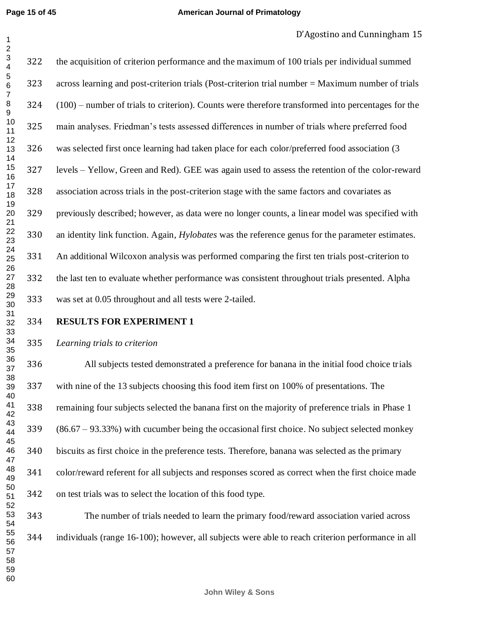```
Page 15 of 45
```
#### **American Journal of Primatology**

## D'Agostino and Cunningham 15

 the acquisition of criterion performance and the maximum of 100 trials per individual summed across learning and post-criterion trials (Post-criterion trial number = Maximum number of trials (100) – number of trials to criterion). Counts were therefore transformed into percentages for the main analyses. Friedman's tests assessed differences in number of trials where preferred food was selected first once learning had taken place for each color/preferred food association (3 levels – Yellow, Green and Red). GEE was again used to assess the retention of the color-reward association across trials in the post-criterion stage with the same factors and covariates as previously described; however, as data were no longer counts, a linear model was specified with an identity link function. Again, *Hylobates* was the reference genus for the parameter estimates. An additional Wilcoxon analysis was performed comparing the first ten trials post-criterion to the last ten to evaluate whether performance was consistent throughout trials presented. Alpha was set at 0.05 throughout and all tests were 2-tailed.

**RESULTS FOR EXPERIMENT 1** 

## *Learning trials to criterion*

 All subjects tested demonstrated a preference for banana in the initial food choice trials with nine of the 13 subjects choosing this food item first on 100% of presentations. The remaining four subjects selected the banana first on the majority of preference trials in Phase 1 (86.67 – 93.33%) with cucumber being the occasional first choice. No subject selected monkey biscuits as first choice in the preference tests. Therefore, banana was selected as the primary color/reward referent for all subjects and responses scored as correct when the first choice made on test trials was to select the location of this food type.

 The number of trials needed to learn the primary food/reward association varied across individuals (range 16-100); however, all subjects were able to reach criterion performance in all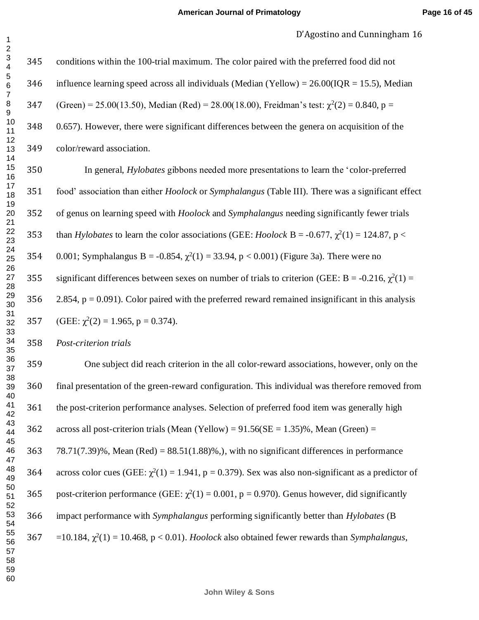conditions within the 100-trial maximum. The color paired with the preferred food did not 346 influence learning speed across all individuals (Median (Yellow) =  $26.00(1OR = 15.5)$ , Median (Green) = 25.00(13.50), Median (Red) = 28.00(18.00), Freidman's test:  $\gamma^2(2) = 0.840$ , p = 0.657). However, there were significant differences between the genera on acquisition of the color/reward association. In general, *Hylobates* gibbons needed more presentations to learn the 'color-preferred food' association than either *Hoolock* or *Symphalangus* (Table III). There was a significant effect of genus on learning speed with *Hoolock* and *Symphalangus* needing significantly fewer trials 353 than *Hylobates* to learn the color associations (GEE: *Hoolock* B = -0.677,  $\chi^2(1) = 124.87$ , p < 354 0.001; Symphalangus B = -0.854,  $\chi^2(1) = 33.94$ , p < 0.001) (Figure 3a). There were no 355 significant differences between sexes on number of trials to criterion (GEE: Β = -0.216,  $\gamma^2(1)$  = 356 2.854,  $p = 0.091$ ). Color paired with the preferred reward remained insignificant in this analysis 357 (GEE:  $\chi^2(2) = 1.965$ , p = 0.374). *Post-criterion trials*  One subject did reach criterion in the all color-reward associations, however, only on the final presentation of the green-reward configuration. This individual was therefore removed from the post-criterion performance analyses. Selection of preferred food item was generally high 362 across all post-criterion trials (Mean (Yellow) =  $91.56$ (SE = 1.35)%, Mean (Green) = 363 78.71(7.39)%, Mean (Red) =  $88.51(1.88)$ %,), with no significant differences in performance 364 across color cues (GEE:  $\chi^2(1) = 1.941$ , p = 0.379). Sex was also non-significant as a predictor of 365 post-criterion performance (GEE:  $\chi^2(1) = 0.001$ , p = 0.970). Genus however, did significantly

 $367 = 10.184$ ,  $\chi^2(1) = 10.468$ ,  $p < 0.01$ ). *Hoolock* also obtained fewer rewards than *Symphalangus*,

impact performance with *Symphalangus* performing significantly better than *Hylobates* (B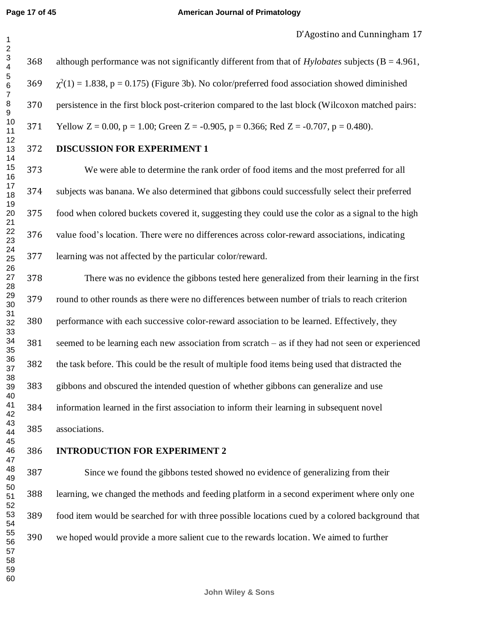although performance was not significantly different from that of *Hylobates* subjects (B = 4.961,  $369 \gamma^2(1) = 1.838$ , p = 0.175) (Figure 3b). No color/preferred food association showed diminished persistence in the first block post-criterion compared to the last block (Wilcoxon matched pairs: 371 Yellow  $Z = 0.00$ ,  $p = 1.00$ ; Green  $Z = -0.905$ ,  $p = 0.366$ ; Red  $Z = -0.707$ ,  $p = 0.480$ ).

**DISCUSSION FOR EXPERIMENT 1** 

 We were able to determine the rank order of food items and the most preferred for all subjects was banana. We also determined that gibbons could successfully select their preferred food when colored buckets covered it, suggesting they could use the color as a signal to the high value food's location. There were no differences across color-reward associations, indicating learning was not affected by the particular color/reward.

 There was no evidence the gibbons tested here generalized from their learning in the first round to other rounds as there were no differences between number of trials to reach criterion performance with each successive color-reward association to be learned. Effectively, they seemed to be learning each new association from scratch – as if they had not seen or experienced the task before. This could be the result of multiple food items being used that distracted the gibbons and obscured the intended question of whether gibbons can generalize and use information learned in the first association to inform their learning in subsequent novel associations.

## **INTRODUCTION FOR EXPERIMENT 2**

 Since we found the gibbons tested showed no evidence of generalizing from their learning, we changed the methods and feeding platform in a second experiment where only one food item would be searched for with three possible locations cued by a colored background that we hoped would provide a more salient cue to the rewards location. We aimed to further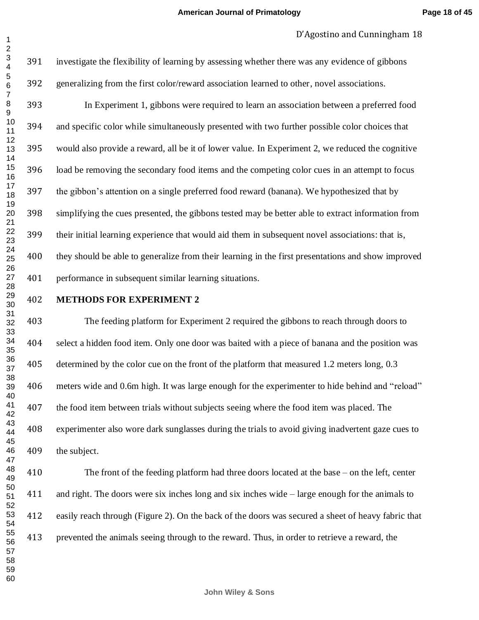investigate the flexibility of learning by assessing whether there was any evidence of gibbons generalizing from the first color/reward association learned to other, novel associations. In Experiment 1, gibbons were required to learn an association between a preferred food and specific color while simultaneously presented with two further possible color choices that would also provide a reward, all be it of lower value. In Experiment 2, we reduced the cognitive load be removing the secondary food items and the competing color cues in an attempt to focus the gibbon's attention on a single preferred food reward (banana). We hypothesized that by simplifying the cues presented, the gibbons tested may be better able to extract information from their initial learning experience that would aid them in subsequent novel associations: that is, they should be able to generalize from their learning in the first presentations and show improved performance in subsequent similar learning situations.

## **METHODS FOR EXPERIMENT 2**

 The feeding platform for Experiment 2 required the gibbons to reach through doors to select a hidden food item. Only one door was baited with a piece of banana and the position was 405 determined by the color cue on the front of the platform that measured 1.2 meters long, 0.3 meters wide and 0.6m high. It was large enough for the experimenter to hide behind and "reload" the food item between trials without subjects seeing where the food item was placed. The experimenter also wore dark sunglasses during the trials to avoid giving inadvertent gaze cues to the subject.

 The front of the feeding platform had three doors located at the base – on the left, center and right. The doors were six inches long and six inches wide – large enough for the animals to easily reach through (Figure 2). On the back of the doors was secured a sheet of heavy fabric that prevented the animals seeing through to the reward. Thus, in order to retrieve a reward, the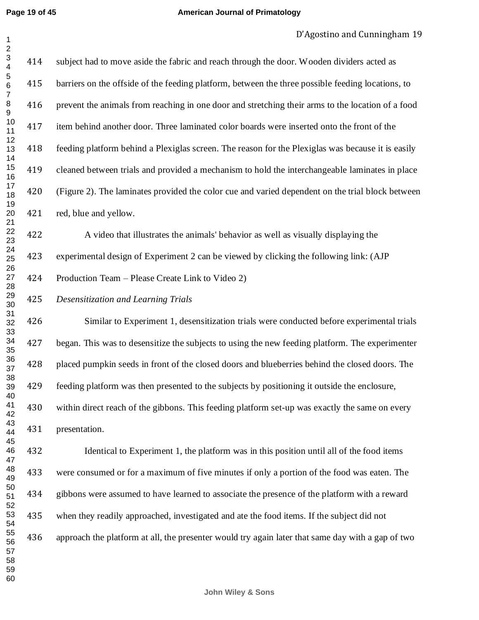| $\overline{c}$                         |     |                                                                                                   |
|----------------------------------------|-----|---------------------------------------------------------------------------------------------------|
| $\mathsf 3$<br>$\overline{\mathbf{4}}$ | 414 | subject had to move aside the fabric and reach through the door. Wooden dividers acted as         |
| 5<br>$\,6$<br>$\boldsymbol{7}$         | 415 | barriers on the offside of the feeding platform, between the three possible feeding locations, to |
| 8<br>9                                 | 416 | prevent the animals from reaching in one door and stretching their arms to the location of a food |
| 10<br>11                               | 417 | item behind another door. Three laminated color boards were inserted onto the front of the        |
| 12<br>13<br>14                         | 418 | feeding platform behind a Plexiglas screen. The reason for the Plexiglas was because it is easily |
| 15<br>16                               | 419 | cleaned between trials and provided a mechanism to hold the interchangeable laminates in place    |
| 17<br>18                               | 420 | (Figure 2). The laminates provided the color cue and varied dependent on the trial block between  |
| 19<br>20<br>21                         | 421 | red, blue and yellow.                                                                             |
| 22<br>23                               | 422 | A video that illustrates the animals' behavior as well as visually displaying the                 |
| 24<br>25                               | 423 | experimental design of Experiment 2 can be viewed by clicking the following link: (AJP            |
| 26<br>27<br>28                         | 424 | Production Team – Please Create Link to Video 2)                                                  |
| 29<br>30                               | 425 | Desensitization and Learning Trials                                                               |
| 31<br>32<br>33                         | 426 | Similar to Experiment 1, desensitization trials were conducted before experimental trials         |
| 34<br>35                               | 427 | began. This was to desensitize the subjects to using the new feeding platform. The experimenter   |
| 36<br>37                               | 428 | placed pumpkin seeds in front of the closed doors and blueberries behind the closed doors. The    |
| 38<br>39<br>40                         | 429 | feeding platform was then presented to the subjects by positioning it outside the enclosure,      |
| 41<br>42                               | 430 | within direct reach of the gibbons. This feeding platform set-up was exactly the same on every    |
| 43<br>44                               | 431 | presentation.                                                                                     |
| 45<br>46<br>47                         | 432 | Identical to Experiment 1, the platform was in this position until all of the food items          |
| 48<br>49                               | 433 | were consumed or for a maximum of five minutes if only a portion of the food was eaten. The       |
| 50<br>51                               | 434 | gibbons were assumed to have learned to associate the presence of the platform with a reward      |
| 52<br>53<br>54                         | 435 | when they readily approached, investigated and ate the food items. If the subject did not         |
| 55<br>56                               | 436 | approach the platform at all, the presenter would try again later that same day with a gap of two |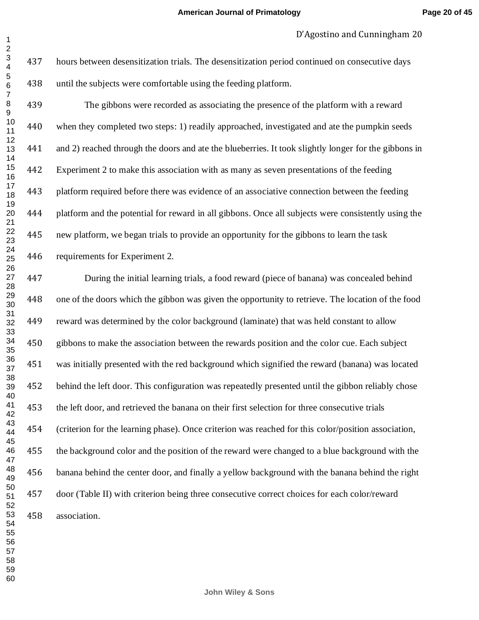hours between desensitization trials. The desensitization period continued on consecutive days until the subjects were comfortable using the feeding platform.

 The gibbons were recorded as associating the presence of the platform with a reward when they completed two steps: 1) readily approached, investigated and ate the pumpkin seeds and 2) reached through the doors and ate the blueberries. It took slightly longer for the gibbons in Experiment 2 to make this association with as many as seven presentations of the feeding platform required before there was evidence of an associative connection between the feeding platform and the potential for reward in all gibbons. Once all subjects were consistently using the new platform, we began trials to provide an opportunity for the gibbons to learn the task requirements for Experiment 2.

 During the initial learning trials, a food reward (piece of banana) was concealed behind one of the doors which the gibbon was given the opportunity to retrieve. The location of the food reward was determined by the color background (laminate) that was held constant to allow gibbons to make the association between the rewards position and the color cue. Each subject was initially presented with the red background which signified the reward (banana) was located behind the left door. This configuration was repeatedly presented until the gibbon reliably chose the left door, and retrieved the banana on their first selection for three consecutive trials (criterion for the learning phase). Once criterion was reached for this color/position association, the background color and the position of the reward were changed to a blue background with the banana behind the center door, and finally a yellow background with the banana behind the right door (Table II) with criterion being three consecutive correct choices for each color/reward association.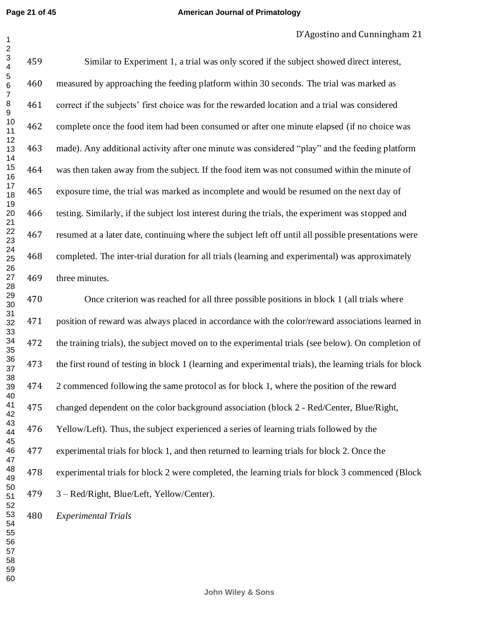**Page 21 of 45**

#### **American Journal of Primatology**

## D'Agostino and Cunningham 21

 Similar to Experiment 1, a trial was only scored if the subject showed direct interest, measured by approaching the feeding platform within 30 seconds. The trial was marked as correct if the subjects' first choice was for the rewarded location and a trial was considered complete once the food item had been consumed or after one minute elapsed (if no choice was made). Any additional activity after one minute was considered "play" and the feeding platform was then taken away from the subject. If the food item was not consumed within the minute of exposure time, the trial was marked as incomplete and would be resumed on the next day of testing. Similarly, if the subject lost interest during the trials, the experiment was stopped and resumed at a later date, continuing where the subject left off until all possible presentations were completed. The inter-trial duration for all trials (learning and experimental) was approximately three minutes.

 Once criterion was reached for all three possible positions in block 1 (all trials where position of reward was always placed in accordance with the color/reward associations learned in the training trials), the subject moved on to the experimental trials (see below). On completion of the first round of testing in block 1 (learning and experimental trials), the learning trials for block 2 commenced following the same protocol as for block 1, where the position of the reward changed dependent on the color background association (block 2 - Red/Center, Blue/Right, Yellow/Left). Thus, the subject experienced a series of learning trials followed by the experimental trials for block 1, and then returned to learning trials for block 2. Once the experimental trials for block 2 were completed, the learning trials for block 3 commenced (Block 3 – Red/Right, Blue/Left, Yellow/Center). *Experimental Trials*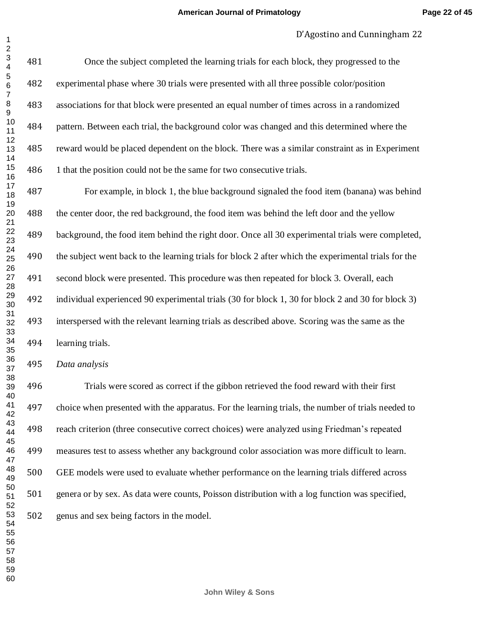Once the subject completed the learning trials for each block, they progressed to the experimental phase where 30 trials were presented with all three possible color/position associations for that block were presented an equal number of times across in a randomized pattern. Between each trial, the background color was changed and this determined where the reward would be placed dependent on the block. There was a similar constraint as in Experiment 486 1 that the position could not be the same for two consecutive trials.

 For example, in block 1, the blue background signaled the food item (banana) was behind the center door, the red background, the food item was behind the left door and the yellow background, the food item behind the right door. Once all 30 experimental trials were completed, the subject went back to the learning trials for block 2 after which the experimental trials for the second block were presented. This procedure was then repeated for block 3. Overall, each individual experienced 90 experimental trials (30 for block 1, 30 for block 2 and 30 for block 3) interspersed with the relevant learning trials as described above. Scoring was the same as the learning trials. 

*Data analysis*

 Trials were scored as correct if the gibbon retrieved the food reward with their first choice when presented with the apparatus. For the learning trials, the number of trials needed to reach criterion (three consecutive correct choices) were analyzed using Friedman's repeated measures test to assess whether any background color association was more difficult to learn. GEE models were used to evaluate whether performance on the learning trials differed across genera or by sex. As data were counts, Poisson distribution with a log function was specified, genus and sex being factors in the model.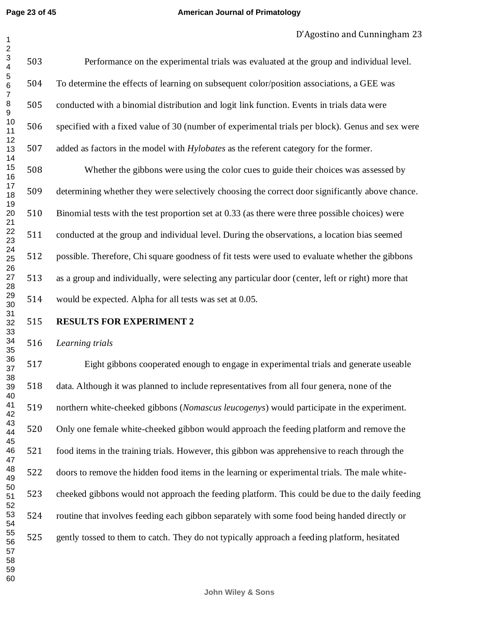**Page 23 of 45**

#### **American Journal of Primatology**

 Performance on the experimental trials was evaluated at the group and individual level. To determine the effects of learning on subsequent color/position associations, a GEE was conducted with a binomial distribution and logit link function. Events in trials data were specified with a fixed value of 30 (number of experimental trials per block). Genus and sex were added as factors in the model with *Hylobates* as the referent category for the former. Whether the gibbons were using the color cues to guide their choices was assessed by determining whether they were selectively choosing the correct door significantly above chance. Binomial tests with the test proportion set at 0.33 (as there were three possible choices) were conducted at the group and individual level. During the observations, a location bias seemed possible. Therefore, Chi square goodness of fit tests were used to evaluate whether the gibbons as a group and individually, were selecting any particular door (center, left or right) more that would be expected. Alpha for all tests was set at 0.05. 

## **RESULTS FOR EXPERIMENT 2**

*Learning trials* 

 Eight gibbons cooperated enough to engage in experimental trials and generate useable data. Although it was planned to include representatives from all four genera, none of the northern white-cheeked gibbons (*Nomascus leucogenys*) would participate in the experiment. Only one female white-cheeked gibbon would approach the feeding platform and remove the food items in the training trials. However, this gibbon was apprehensive to reach through the doors to remove the hidden food items in the learning or experimental trials. The male white- cheeked gibbons would not approach the feeding platform. This could be due to the daily feeding routine that involves feeding each gibbon separately with some food being handed directly or gently tossed to them to catch. They do not typically approach a feeding platform, hesitated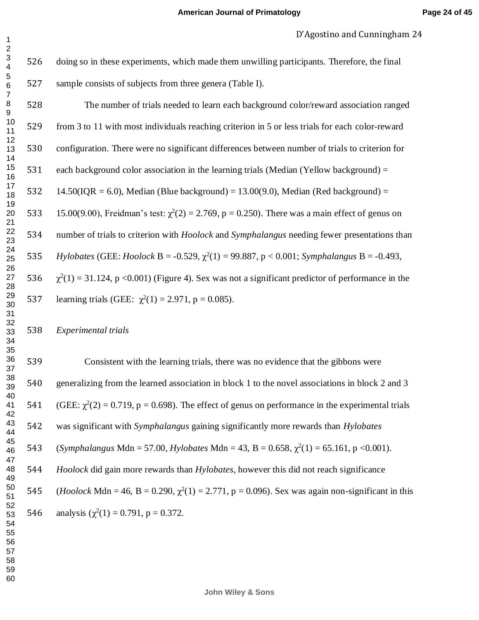doing so in these experiments, which made them unwilling participants. Therefore, the final sample consists of subjects from three genera (Table I).

| 528 | The number of trials needed to learn each background color/reward association ranged                       |
|-----|------------------------------------------------------------------------------------------------------------|
| 529 | from 3 to 11 with most individuals reaching criterion in 5 or less trials for each color-reward            |
| 530 | configuration. There were no significant differences between number of trials to criterion for             |
| 531 | each background color association in the learning trials (Median (Yellow background) $=$                   |
| 532 | $14.50(IQR = 6.0)$ , Median (Blue background) = 13.00(9.0), Median (Red background) =                      |
| 533 | 15.00(9.00), Freidman's test: $\chi^2(2) = 2.769$ , p = 0.250). There was a main effect of genus on        |
| 534 | number of trials to criterion with <i>Hoolock</i> and <i>Symphalangus</i> needing fewer presentations than |
| 535 | Hylobates (GEE: Hoolock B = -0.529, $\chi^2(1)$ = 99.887, p < 0.001; Symphalangus B = -0.493,              |
| 536 | $\chi^2(1) = 31.124$ , p <0.001) (Figure 4). Sex was not a significant predictor of performance in the     |
| 537 | learning trials (GEE: $\chi^2(1) = 2.971$ , p = 0.085).                                                    |

*Experimental trials* 

 Consistent with the learning trials, there was no evidence that the gibbons were generalizing from the learned association in block 1 to the novel associations in block 2 and 3 541 (GEE:  $\chi^2(2) = 0.719$ , p = 0.698). The effect of genus on performance in the experimental trials was significant with *Symphalangus* gaining significantly more rewards than *Hylobates*  (*Symphalangus* Mdn = 57.00, *Hylobates* Mdn = 43, B = 0.658,  $\chi^2(1)$  = 65.161, p < 0.001). *Hoolock* did gain more rewards than *Hylobates*, however this did not reach significance 545 (*Hoolock* Mdn = 46, B = 0.290,  $\gamma^2(1) = 2.771$ , p = 0.096). Sex was again non-significant in this 546 analysis  $(\chi^2(1) = 0.791, p = 0.372$ .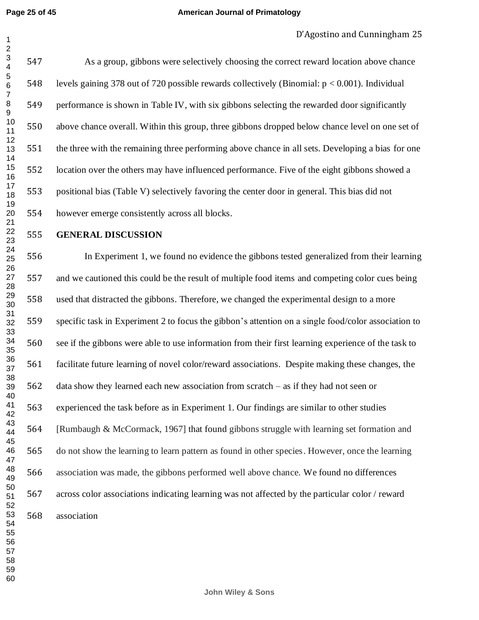#### **American Journal of Primatology**

 As a group, gibbons were selectively choosing the correct reward location above chance levels gaining 378 out of 720 possible rewards collectively (Binomial: p < 0.001). Individual performance is shown in Table IV, with six gibbons selecting the rewarded door significantly above chance overall. Within this group, three gibbons dropped below chance level on one set of the three with the remaining three performing above chance in all sets. Developing a bias for one location over the others may have influenced performance. Five of the eight gibbons showed a positional bias (Table V) selectively favoring the center door in general. This bias did not however emerge consistently across all blocks.

**GENERAL DISCUSSION** 

 In Experiment 1, we found no evidence the gibbons tested generalized from their learning and we cautioned this could be the result of multiple food items and competing color cues being used that distracted the gibbons. Therefore, we changed the experimental design to a more specific task in Experiment 2 to focus the gibbon's attention on a single food/color association to see if the gibbons were able to use information from their first learning experience of the task to facilitate future learning of novel color/reward associations. Despite making these changes, the data show they learned each new association from scratch – as if they had not seen or experienced the task before as in Experiment 1. Our findings are similar to other studies [Rumbaugh & McCormack, 1967] that found gibbons struggle with learning set formation and do not show the learning to learn pattern as found in other species. However, once the learning association was made, the gibbons performed well above chance. We found no differences across color associations indicating learning was not affected by the particular color / reward association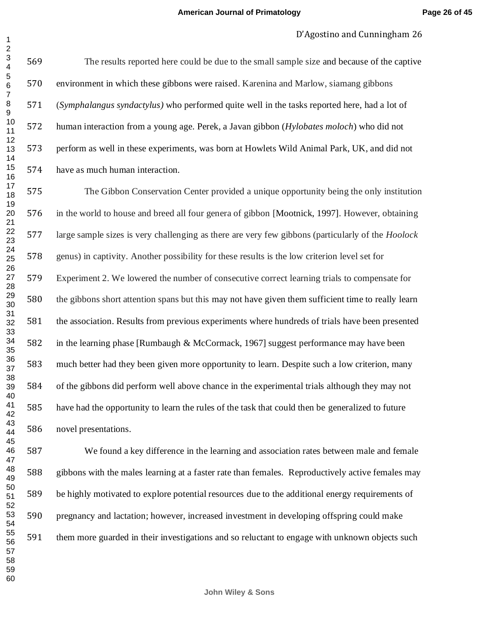The results reported here could be due to the small sample size and because of the captive environment in which these gibbons were raised. Karenina and Marlow, siamang gibbons (*Symphalangus syndactylus)* who performed quite well in the tasks reported here, had a lot of human interaction from a young age. Perek, a Javan gibbon (*Hylobates moloch*) who did not perform as well in these experiments, was born at Howlets Wild Animal Park, UK, and did not have as much human interaction.

 The Gibbon Conservation Center provided a unique opportunity being the only institution in the world to house and breed all four genera of gibbon [Mootnick, 1997]. However, obtaining large sample sizes is very challenging as there are very few gibbons (particularly of the *Hoolock* genus) in captivity. Another possibility for these results is the low criterion level set for Experiment 2. We lowered the number of consecutive correct learning trials to compensate for the gibbons short attention spans but this may not have given them sufficient time to really learn the association. Results from previous experiments where hundreds of trials have been presented in the learning phase [Rumbaugh & McCormack, 1967] suggest performance may have been much better had they been given more opportunity to learn. Despite such a low criterion, many of the gibbons did perform well above chance in the experimental trials although they may not have had the opportunity to learn the rules of the task that could then be generalized to future novel presentations.

 We found a key difference in the learning and association rates between male and female gibbons with the males learning at a faster rate than females. Reproductively active females may be highly motivated to explore potential resources due to the additional energy requirements of pregnancy and lactation; however, increased investment in developing offspring could make them more guarded in their investigations and so reluctant to engage with unknown objects such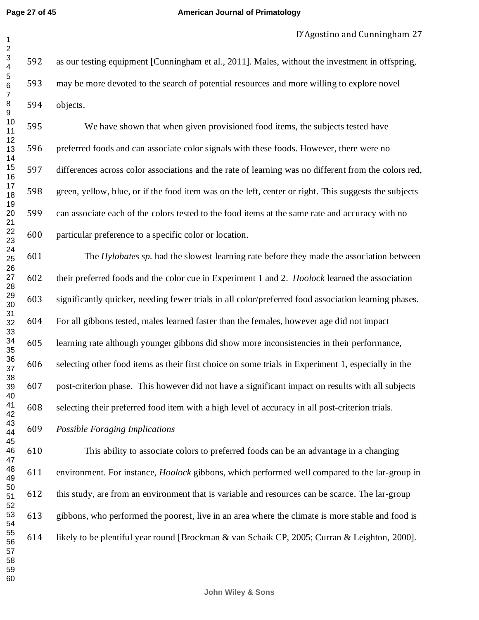#### **American Journal of Primatology**

 as our testing equipment [Cunningham et al., 2011]. Males, without the investment in offspring, may be more devoted to the search of potential resources and more willing to explore novel objects.

 We have shown that when given provisioned food items, the subjects tested have preferred foods and can associate color signals with these foods. However, there were no differences across color associations and the rate of learning was no different from the colors red, green, yellow, blue, or if the food item was on the left, center or right. This suggests the subjects can associate each of the colors tested to the food items at the same rate and accuracy with no particular preference to a specific color or location.

 The *Hylobates sp.* had the slowest learning rate before they made the association between their preferred foods and the color cue in Experiment 1 and 2. *Hoolock* learned the association significantly quicker, needing fewer trials in all color/preferred food association learning phases. For all gibbons tested, males learned faster than the females, however age did not impact learning rate although younger gibbons did show more inconsistencies in their performance, selecting other food items as their first choice on some trials in Experiment 1, especially in the post-criterion phase. This however did not have a significant impact on results with all subjects selecting their preferred food item with a high level of accuracy in all post-criterion trials.

*Possible Foraging Implications*

 This ability to associate colors to preferred foods can be an advantage in a changing environment. For instance, *Hoolock* gibbons, which performed well compared to the lar-group in this study, are from an environment that is variable and resources can be scarce. The lar-group gibbons, who performed the poorest, live in an area where the climate is more stable and food is likely to be plentiful year round [Brockman & van Schaik CP, 2005; Curran & Leighton, 2000].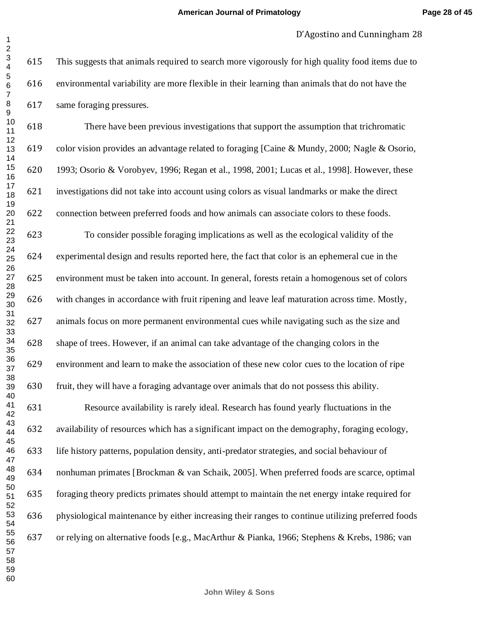This suggests that animals required to search more vigorously for high quality food items due to environmental variability are more flexible in their learning than animals that do not have the same foraging pressures.

 There have been previous investigations that support the assumption that trichromatic color vision provides an advantage related to foraging [Caine & Mundy, 2000; Nagle & Osorio, 1993; Osorio & Vorobyev, 1996; Regan et al., 1998, 2001; Lucas et al., 1998]. However, these investigations did not take into account using colors as visual landmarks or make the direct connection between preferred foods and how animals can associate colors to these foods.

 To consider possible foraging implications as well as the ecological validity of the experimental design and results reported here, the fact that color is an ephemeral cue in the environment must be taken into account. In general, forests retain a homogenous set of colors with changes in accordance with fruit ripening and leave leaf maturation across time. Mostly, animals focus on more permanent environmental cues while navigating such as the size and shape of trees. However, if an animal can take advantage of the changing colors in the environment and learn to make the association of these new color cues to the location of ripe fruit, they will have a foraging advantage over animals that do not possess this ability.

 Resource availability is rarely ideal. Research has found yearly fluctuations in the availability of resources which has a significant impact on the demography, foraging ecology, life history patterns, population density, anti-predator strategies, and social behaviour of nonhuman primates [Brockman & van Schaik, 2005]. When preferred foods are scarce, optimal foraging theory predicts primates should attempt to maintain the net energy intake required for physiological maintenance by either increasing their ranges to continue utilizing preferred foods or relying on alternative foods [e.g., MacArthur & Pianka, 1966; Stephens & Krebs, 1986; van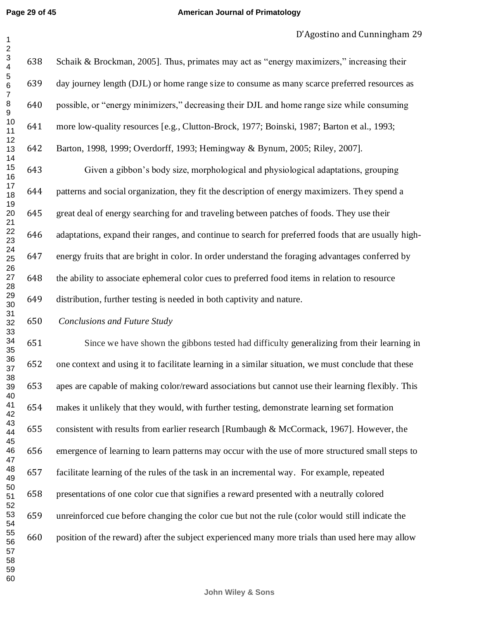Schaik & Brockman, 2005]. Thus, primates may act as "energy maximizers," increasing their day journey length (DJL) or home range size to consume as many scarce preferred resources as possible, or "energy minimizers," decreasing their DJL and home range size while consuming more low-quality resources [e.g., Clutton-Brock, 1977; Boinski, 1987; Barton et al., 1993; Barton, 1998, 1999; Overdorff, 1993; Hemingway & Bynum, 2005; Riley, 2007]. Given a gibbon's body size, morphological and physiological adaptations, grouping patterns and social organization, they fit the description of energy maximizers. They spend a great deal of energy searching for and traveling between patches of foods. They use their adaptations, expand their ranges, and continue to search for preferred foods that are usually high- energy fruits that are bright in color. In order understand the foraging advantages conferred by the ability to associate ephemeral color cues to preferred food items in relation to resource distribution, further testing is needed in both captivity and nature.

## *Conclusions and Future Study*

 Since we have shown the gibbons tested had difficulty generalizing from their learning in one context and using it to facilitate learning in a similar situation, we must conclude that these apes are capable of making color/reward associations but cannot use their learning flexibly. This makes it unlikely that they would, with further testing, demonstrate learning set formation consistent with results from earlier research [Rumbaugh & McCormack, 1967]. However, the emergence of learning to learn patterns may occur with the use of more structured small steps to facilitate learning of the rules of the task in an incremental way. For example, repeated presentations of one color cue that signifies a reward presented with a neutrally colored unreinforced cue before changing the color cue but not the rule (color would still indicate the position of the reward) after the subject experienced many more trials than used here may allow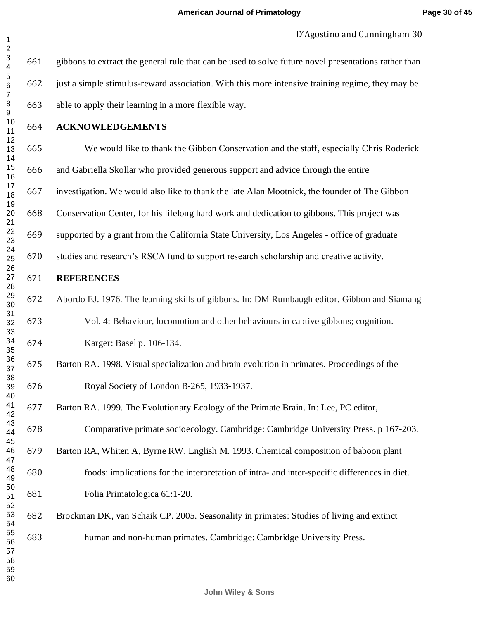gibbons to extract the general rule that can be used to solve future novel presentations rather than just a simple stimulus-reward association. With this more intensive training regime, they may be able to apply their learning in a more flexible way.

**ACKNOWLEDGEMENTS**

We would like to thank the Gibbon Conservation and the staff, especially Chris Roderick

and Gabriella Skollar who provided generous support and advice through the entire

investigation. We would also like to thank the late Alan Mootnick, the founder of The Gibbon

Conservation Center, for his lifelong hard work and dedication to gibbons. This project was

supported by a grant from the California State University, Los Angeles - office of graduate

studies and research's RSCA fund to support research scholarship and creative activity.

# **REFERENCES**

 Abordo EJ. 1976. The learning skills of gibbons. In: DM Rumbaugh editor. Gibbon and Siamang Vol. 4: Behaviour, locomotion and other behaviours in captive gibbons; cognition.

Karger: Basel p. 106-134.

 Barton RA. 1998. Visual specialization and brain evolution in primates. Proceedings of the Royal Society of London B-265, 1933-1937.

Barton RA. 1999. The Evolutionary Ecology of the Primate Brain. In: Lee, PC editor,

Comparative primate socioecology. Cambridge: Cambridge University Press. p 167-203.

 Barton RA, Whiten A, Byrne RW, English M. 1993. Chemical composition of baboon plant foods: implications for the interpretation of intra- and inter-specific differences in diet.

Folia Primatologica 61:1-20.

 Brockman DK, van Schaik CP. 2005. Seasonality in primates: Studies of living and extinct human and non-human primates. Cambridge: Cambridge University Press.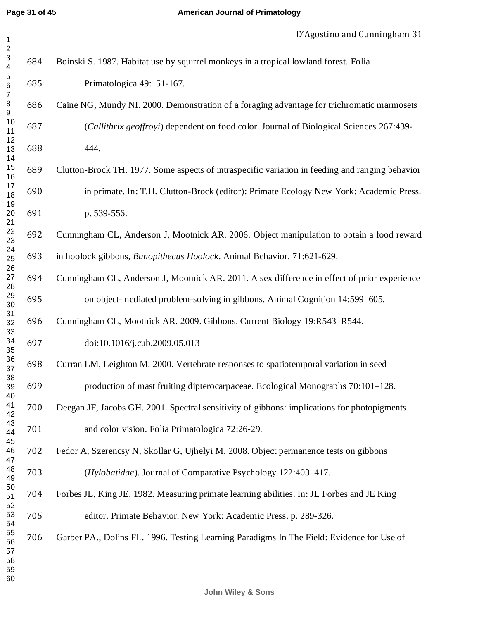| $\overline{\mathbf{c}}$                 |     |                                                                                                 |
|-----------------------------------------|-----|-------------------------------------------------------------------------------------------------|
| $\mathbf{3}$<br>$\overline{\mathbf{4}}$ | 684 | Boinski S. 1987. Habitat use by squirrel monkeys in a tropical lowland forest. Folia            |
| $\sqrt{5}$<br>$\,6$                     | 685 | Primatologica 49:151-167.                                                                       |
| $\boldsymbol{7}$<br>$\bf 8$<br>9        | 686 | Caine NG, Mundy NI. 2000. Demonstration of a foraging advantage for trichromatic marmosets      |
| 10<br>11                                | 687 | (Callithrix geoffroyi) dependent on food color. Journal of Biological Sciences 267:439-         |
| 12<br>13                                | 688 | 444.                                                                                            |
| 14<br>15<br>16                          | 689 | Clutton-Brock TH. 1977. Some aspects of intraspecific variation in feeding and ranging behavior |
| 17<br>18                                | 690 | in primate. In: T.H. Clutton-Brock (editor): Primate Ecology New York: Academic Press.          |
| 19<br>20                                | 691 | p. 539-556.                                                                                     |
| 21<br>22<br>23                          | 692 | Cunningham CL, Anderson J, Mootnick AR. 2006. Object manipulation to obtain a food reward       |
| 24<br>25                                | 693 | in hoolock gibbons, Bunopithecus Hoolock. Animal Behavior. 71:621-629.                          |
| 26<br>27                                | 694 | Cunningham CL, Anderson J, Mootnick AR. 2011. A sex difference in effect of prior experience    |
| 28<br>29<br>30                          | 695 | on object-mediated problem-solving in gibbons. Animal Cognition 14:599–605.                     |
| 31<br>32                                | 696 | Cunningham CL, Mootnick AR. 2009. Gibbons. Current Biology 19:R543-R544.                        |
| 33<br>34<br>35                          | 697 | doi:10.1016/j.cub.2009.05.013                                                                   |
| 36<br>37                                | 698 | Curran LM, Leighton M. 2000. Vertebrate responses to spatiotemporal variation in seed           |
| 38<br>39                                | 699 | production of mast fruiting dipterocarpaceae. Ecological Monographs 70:101–128.                 |
| 40<br>41<br>42                          | 700 | Deegan JF, Jacobs GH. 2001. Spectral sensitivity of gibbons: implications for photopigments     |
| 43<br>44                                | 701 | and color vision. Folia Primatologica 72:26-29.                                                 |
| 45<br>46                                | 702 | Fedor A, Szerencsy N, Skollar G, Ujhelyi M. 2008. Object permanence tests on gibbons            |
| 47<br>48<br>49                          | 703 | (Hylobatidae). Journal of Comparative Psychology 122:403-417.                                   |
| 50<br>51                                | 704 | Forbes JL, King JE. 1982. Measuring primate learning abilities. In: JL Forbes and JE King       |
| 52<br>53<br>54                          | 705 | editor. Primate Behavior. New York: Academic Press. p. 289-326.                                 |
| 55<br>56<br>57<br>58<br>59              | 706 | Garber PA., Dolins FL. 1996. Testing Learning Paradigms In The Field: Evidence for Use of       |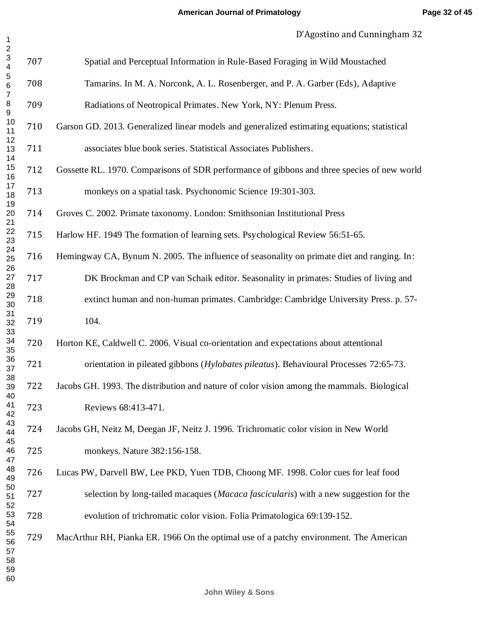| $\mathbf{1}$                                                       |     | D Agostmo and Cummigham J2                                                                   |
|--------------------------------------------------------------------|-----|----------------------------------------------------------------------------------------------|
| $\sqrt{2}$<br>$\ensuremath{\mathsf{3}}$<br>$\overline{\mathbf{4}}$ | 707 | Spatial and Perceptual Information in Rule-Based Foraging in Wild Moustached                 |
| 5<br>$\,6$<br>$\boldsymbol{7}$                                     | 708 | Tamarins. In M. A. Norconk, A. L. Rosenberger, and P. A. Garber (Eds), Adaptive              |
| $\bf 8$<br>9                                                       | 709 | Radiations of Neotropical Primates. New York, NY: Plenum Press.                              |
| 10<br>11                                                           | 710 | Garson GD. 2013. Generalized linear models and generalized estimating equations; statistical |
| 12<br>13<br>14                                                     | 711 | associates blue book series. Statistical Associates Publishers.                              |
| 15<br>16                                                           | 712 | Gossette RL. 1970. Comparisons of SDR performance of gibbons and three species of new world  |
| 17<br>18<br>19                                                     | 713 | monkeys on a spatial task. Psychonomic Science 19:301-303.                                   |
| 20<br>21                                                           | 714 | Groves C. 2002. Primate taxonomy. London: Smithsonian Institutional Press                    |
| 22<br>23                                                           | 715 | Harlow HF. 1949 The formation of learning sets. Psychological Review 56:51-65.               |
| 24<br>25<br>26                                                     | 716 | Hemingway CA, Bynum N. 2005. The influence of seasonality on primate diet and ranging. In:   |
| 27<br>28                                                           | 717 | DK Brockman and CP van Schaik editor. Seasonality in primates: Studies of living and         |
| 29<br>30<br>31                                                     | 718 | extinct human and non-human primates. Cambridge: Cambridge University Press. p. 57-          |
| 32<br>33                                                           | 719 | 104.                                                                                         |
| 34<br>35                                                           | 720 | Horton KE, Caldwell C. 2006. Visual co-orientation and expectations about attentional        |
| 36<br>37                                                           | 721 | orientation in pileated gibbons (Hylobates pileatus). Behavioural Processes 72:65-73.        |
| 38<br>39<br>40                                                     | 722 | Jacobs GH. 1993. The distribution and nature of color vision among the mammals. Biological   |
| 41<br>42                                                           | 723 | Reviews 68:413-471.                                                                          |
| 43<br>44<br>45                                                     | 724 | Jacobs GH, Neitz M, Deegan JF, Neitz J. 1996. Trichromatic color vision in New World         |
| 46<br>47                                                           | 725 | monkeys. Nature 382:156-158.                                                                 |
| 48<br>49<br>50                                                     | 726 | Lucas PW, Darvell BW, Lee PKD, Yuen TDB, Choong MF. 1998. Color cues for leaf food           |
| 51<br>52                                                           | 727 | selection by long-tailed macaques (Macaca fascicularis) with a new suggestion for the        |
| 53<br>54                                                           | 728 | evolution of trichromatic color vision. Folia Primatologica 69:139-152.                      |
| 55<br>56<br>57<br>58<br>59<br>60                                   | 729 | MacArthur RH, Pianka ER. 1966 On the optimal use of a patchy environment. The American       |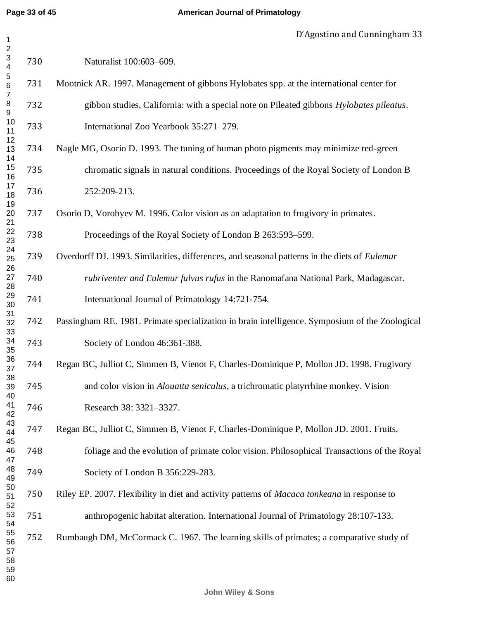| $\overline{\mathbf{c}}$<br>$\frac{3}{4}$  | 730 | Naturalist 100:603-609.                                                                            |  |  |  |  |  |  |  |  |
|-------------------------------------------|-----|----------------------------------------------------------------------------------------------------|--|--|--|--|--|--|--|--|
| $\begin{array}{c} 5 \\ 6 \end{array}$     | 731 | Mootnick AR. 1997. Management of gibbons Hylobates spp. at the international center for            |  |  |  |  |  |  |  |  |
| $\boldsymbol{7}$<br>8<br>$\boldsymbol{9}$ | 732 | gibbon studies, California: with a special note on Pileated gibbons Hylobates pileatus.            |  |  |  |  |  |  |  |  |
| 10<br>11                                  | 733 | International Zoo Yearbook 35:271-279.                                                             |  |  |  |  |  |  |  |  |
| 12<br>13<br>14                            | 734 | Nagle MG, Osorio D. 1993. The tuning of human photo pigments may minimize red-green                |  |  |  |  |  |  |  |  |
| 15<br>16                                  | 735 | chromatic signals in natural conditions. Proceedings of the Royal Society of London B              |  |  |  |  |  |  |  |  |
| 17<br>18                                  | 736 | 252:209-213.                                                                                       |  |  |  |  |  |  |  |  |
| 19<br>20<br>21                            | 737 | Osorio D, Vorobyev M. 1996. Color vision as an adaptation to frugivory in primates.                |  |  |  |  |  |  |  |  |
| 22<br>23                                  | 738 | Proceedings of the Royal Society of London B 263:593–599.                                          |  |  |  |  |  |  |  |  |
| 24<br>25<br>26                            | 739 | Overdorff DJ. 1993. Similarities, differences, and seasonal patterns in the diets of Eulemur       |  |  |  |  |  |  |  |  |
| 27<br>28                                  | 740 | rubriventer and Eulemur fulvus rufus in the Ranomafana National Park, Madagascar.                  |  |  |  |  |  |  |  |  |
| 29<br>30                                  | 741 | International Journal of Primatology 14:721-754.                                                   |  |  |  |  |  |  |  |  |
| 31<br>32<br>33                            | 742 | Passingham RE. 1981. Primate specialization in brain intelligence. Symposium of the Zoological     |  |  |  |  |  |  |  |  |
| 34<br>35                                  | 743 | Society of London 46:361-388.                                                                      |  |  |  |  |  |  |  |  |
| 36<br>37                                  | 744 | Regan BC, Julliot C, Simmen B, Vienot F, Charles-Dominique P, Mollon JD. 1998. Frugivory           |  |  |  |  |  |  |  |  |
| 38<br>39<br>40                            | 745 | and color vision in <i>Alouatta seniculus</i> , a trichromatic platyrrhine monkey. Vision          |  |  |  |  |  |  |  |  |
| 41<br>42                                  | 746 | Research 38: 3321-3327.                                                                            |  |  |  |  |  |  |  |  |
| 43<br>44<br>45                            | 747 | Regan BC, Julliot C, Simmen B, Vienot F, Charles-Dominique P, Mollon JD. 2001. Fruits,             |  |  |  |  |  |  |  |  |
| 46<br>47                                  | 748 | foliage and the evolution of primate color vision. Philosophical Transactions of the Royal         |  |  |  |  |  |  |  |  |
| 48<br>49                                  | 749 | Society of London B 356:229-283.                                                                   |  |  |  |  |  |  |  |  |
| 50<br>51<br>52                            | 750 | Riley EP. 2007. Flexibility in diet and activity patterns of <i>Macaca tonkeana</i> in response to |  |  |  |  |  |  |  |  |
| 53<br>54                                  | 751 | anthropogenic habitat alteration. International Journal of Primatology 28:107-133.                 |  |  |  |  |  |  |  |  |
| 55<br>56<br>57<br>58<br>59<br>60          | 752 | Rumbaugh DM, McCormack C. 1967. The learning skills of primates; a comparative study of            |  |  |  |  |  |  |  |  |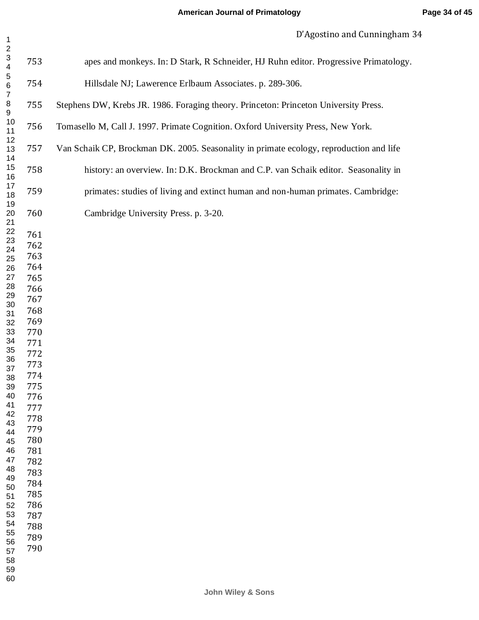| $\overline{1}$                                                                                                                                                                                                                                                                                                                 |                                                                                                                                                                                                                | р Адоѕино ана Санніціднані з                                                            |
|--------------------------------------------------------------------------------------------------------------------------------------------------------------------------------------------------------------------------------------------------------------------------------------------------------------------------------|----------------------------------------------------------------------------------------------------------------------------------------------------------------------------------------------------------------|-----------------------------------------------------------------------------------------|
| $\sqrt{2}$<br>$\ensuremath{\mathsf{3}}$<br>$\overline{\mathbf{4}}$                                                                                                                                                                                                                                                             | 753                                                                                                                                                                                                            | apes and monkeys. In: D Stark, R Schneider, HJ Ruhn editor. Progressive Primatology.    |
| $\mathbf 5$<br>$\,6$<br>$\overline{7}$                                                                                                                                                                                                                                                                                         | 754                                                                                                                                                                                                            | Hillsdale NJ; Lawerence Erlbaum Associates. p. 289-306.                                 |
| $\bf 8$<br>9<br>10<br>11<br>12<br>13<br>14<br>15<br>16<br>17<br>18<br>19<br>20<br>21<br>22<br>23<br>24<br>25<br>26<br>27<br>28<br>29<br>30<br>31<br>32<br>33<br>34<br>35<br>36<br>37<br>38<br>39<br>40<br>41<br>42<br>43<br>44<br>45<br>46<br>47<br>48<br>49<br>50<br>51<br>52<br>53<br>54<br>55<br>56<br>57<br>58<br>59<br>60 | 755                                                                                                                                                                                                            | Stephens DW, Krebs JR. 1986. Foraging theory. Princeton: Princeton University Press.    |
|                                                                                                                                                                                                                                                                                                                                | 756                                                                                                                                                                                                            | Tomasello M, Call J. 1997. Primate Cognition. Oxford University Press, New York.        |
|                                                                                                                                                                                                                                                                                                                                | 757                                                                                                                                                                                                            | Van Schaik CP, Brockman DK. 2005. Seasonality in primate ecology, reproduction and life |
|                                                                                                                                                                                                                                                                                                                                | 758                                                                                                                                                                                                            | history: an overview. In: D.K. Brockman and C.P. van Schaik editor. Seasonality in      |
|                                                                                                                                                                                                                                                                                                                                | 759                                                                                                                                                                                                            | primates: studies of living and extinct human and non-human primates. Cambridge:        |
|                                                                                                                                                                                                                                                                                                                                | 760                                                                                                                                                                                                            | Cambridge University Press. p. 3-20.                                                    |
|                                                                                                                                                                                                                                                                                                                                | 761<br>762<br>763<br>764<br>765<br>766<br>767<br>768<br>769<br>770<br>771<br>772<br>773<br>774<br>775<br>776<br>777<br>778<br>779<br>780<br>781<br>782<br>783<br>784<br>785<br>786<br>787<br>788<br>789<br>790 |                                                                                         |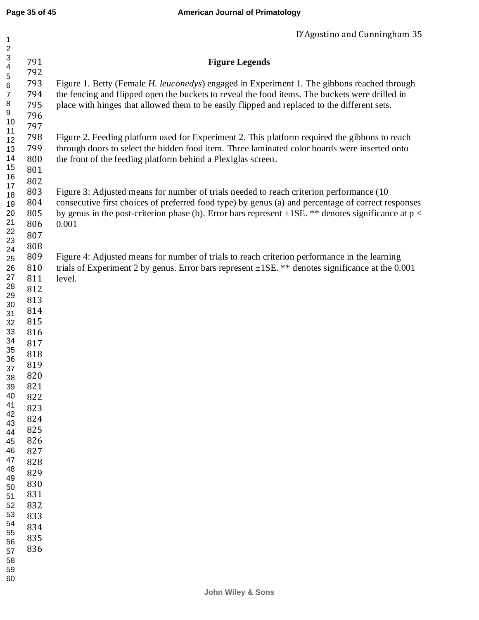| $\mathbf 1$             |     | D Agostino and Cummingham 35                                                                             |
|-------------------------|-----|----------------------------------------------------------------------------------------------------------|
| $\overline{\mathbf{c}}$ |     |                                                                                                          |
| 3                       | 791 | <b>Figure Legends</b>                                                                                    |
| 4                       | 792 |                                                                                                          |
| 5<br>6                  | 793 | Figure 1. Betty (Female H. leuconedys) engaged in Experiment 1. The gibbons reached through              |
| $\boldsymbol{7}$        | 794 | the fencing and flipped open the buckets to reveal the food items. The buckets were drilled in           |
| 8                       | 795 | place with hinges that allowed them to be easily flipped and replaced to the different sets.             |
| 9                       | 796 |                                                                                                          |
| 10                      |     |                                                                                                          |
| 11                      | 797 |                                                                                                          |
| 12                      | 798 | Figure 2. Feeding platform used for Experiment 2. This platform required the gibbons to reach            |
| 13                      | 799 | through doors to select the hidden food item. Three laminated color boards were inserted onto            |
| 14                      | 800 | the front of the feeding platform behind a Plexiglas screen.                                             |
| 15<br>16                | 801 |                                                                                                          |
| 17                      | 802 |                                                                                                          |
| 18                      | 803 | Figure 3: Adjusted means for number of trials needed to reach criterion performance (10)                 |
| 19                      | 804 | consecutive first choices of preferred food type) by genus (a) and percentage of correct responses       |
| 20                      | 805 | by genus in the post-criterion phase (b). Error bars represent $\pm$ 1SE. ** denotes significance at p < |
| 21                      | 806 | 0.001                                                                                                    |
| 22                      | 807 |                                                                                                          |
| 23                      | 808 |                                                                                                          |
| 24<br>25                | 809 | Figure 4: Adjusted means for number of trials to reach criterion performance in the learning             |
| 26                      | 810 | trials of Experiment 2 by genus. Error bars represent $\pm$ 1SE. ** denotes significance at the 0.001    |
| 27                      | 811 | level.                                                                                                   |
| 28                      | 812 |                                                                                                          |
| 29                      | 813 |                                                                                                          |
| 30                      | 814 |                                                                                                          |
| 31<br>32                | 815 |                                                                                                          |
| 33                      | 816 |                                                                                                          |
| 34                      | 817 |                                                                                                          |
| 35                      | 818 |                                                                                                          |
| 36                      |     |                                                                                                          |
| 37                      | 819 |                                                                                                          |
| 38                      | 820 |                                                                                                          |
| 39                      | 821 |                                                                                                          |
| 40<br>41                | 822 |                                                                                                          |
| 42                      | 823 |                                                                                                          |
| 43                      | 824 |                                                                                                          |
| 44                      | 825 |                                                                                                          |
| 45                      | 826 |                                                                                                          |
| 46                      | 827 |                                                                                                          |
| 47<br>48                | 828 |                                                                                                          |
| 49                      | 829 |                                                                                                          |
| 50                      | 830 |                                                                                                          |
| 51                      | 831 |                                                                                                          |
| 52                      | 832 |                                                                                                          |
| 53                      | 833 |                                                                                                          |
| 54<br>55                | 834 |                                                                                                          |
| 56                      | 835 |                                                                                                          |
| 57                      | 836 |                                                                                                          |
| 58                      |     |                                                                                                          |
| 59                      |     |                                                                                                          |
| 60                      |     |                                                                                                          |
|                         |     |                                                                                                          |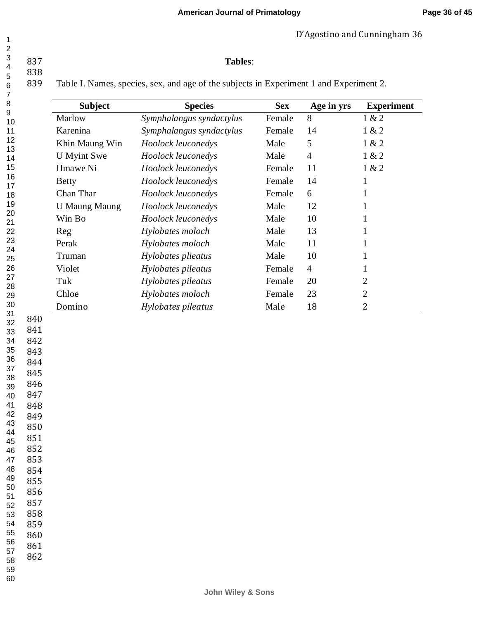## **American Journal of Primatology**

D'Agostino and Cunningham 36

# **Tables**:

 

838<br>839 Table I. Names, species, sex, and age of the subjects in Experiment 1 and Experiment 2.

| $\overline{7}$                                                                                                                                      |                                                                                                                                          |                      |                          |            |                |                   |
|-----------------------------------------------------------------------------------------------------------------------------------------------------|------------------------------------------------------------------------------------------------------------------------------------------|----------------------|--------------------------|------------|----------------|-------------------|
| 8<br>9                                                                                                                                              |                                                                                                                                          | <b>Subject</b>       | <b>Species</b>           | <b>Sex</b> | Age in yrs     | <b>Experiment</b> |
| 10                                                                                                                                                  |                                                                                                                                          | Marlow               | Symphalangus syndactylus | Female     | 8              | 1 & 2             |
| 11                                                                                                                                                  |                                                                                                                                          | Karenina             | Symphalangus syndactylus | Female     | 14             | 1 & 2             |
| 12<br>13                                                                                                                                            |                                                                                                                                          | Khin Maung Win       | Hoolock leuconedys       | Male       | 5              | 1 & 2             |
| 14                                                                                                                                                  |                                                                                                                                          | <b>U</b> Myint Swe   | Hoolock leuconedys       | Male       | $\overline{4}$ | 1 & 2             |
| 15                                                                                                                                                  |                                                                                                                                          | Hmawe Ni             | Hoolock leuconedys       | Female     | 11             | 1 & 2             |
| 16<br>17                                                                                                                                            |                                                                                                                                          | <b>Betty</b>         | Hoolock leuconedys       | Female     | 14             | $\mathbf 1$       |
| 18                                                                                                                                                  |                                                                                                                                          | Chan Thar            | Hoolock leuconedys       | Female     | 6              | 1                 |
| 19                                                                                                                                                  |                                                                                                                                          | <b>U Maung Maung</b> | Hoolock leuconedys       | Male       | 12             | 1                 |
| 20<br>21                                                                                                                                            |                                                                                                                                          | Win Bo               | Hoolock leuconedys       | Male       | 10             | 1                 |
| 22                                                                                                                                                  |                                                                                                                                          | Reg                  | Hylobates moloch         | Male       | 13             | 1                 |
| 23<br>24                                                                                                                                            |                                                                                                                                          | Perak                | Hylobates moloch         | Male       | 11             | 1                 |
| 25                                                                                                                                                  |                                                                                                                                          | Truman               | Hylobates plieatus       | Male       | 10             | 1                 |
| 26                                                                                                                                                  |                                                                                                                                          | Violet               | Hylobates pileatus       | Female     | $\overline{4}$ | $\mathbf{1}$      |
| 27<br>28                                                                                                                                            |                                                                                                                                          | Tuk                  | Hylobates pileatus       | Female     | 20             | 2                 |
| 29                                                                                                                                                  |                                                                                                                                          | Chloe                | Hylobates moloch         | Female     | 23             | $\sqrt{2}$        |
| 30<br>31                                                                                                                                            |                                                                                                                                          | Domino               | Hylobates pileatus       | Male       | 18             | $\mathbf{2}$      |
| 842<br>34<br>35<br>36<br>37<br>38<br>39<br>40<br>41<br>42<br>43<br>44<br>45<br>46<br>47<br>48<br>49<br>50<br>51<br>52<br>53<br>54<br>55<br>56<br>57 | 843<br>844<br>845<br>846<br>847<br>848<br>849<br>850<br>851<br>852<br>853<br>854<br>855<br>856<br>857<br>858<br>859<br>860<br>861<br>862 |                      |                          |            |                |                   |
| 58<br>59<br>60                                                                                                                                      |                                                                                                                                          |                      |                          |            |                |                   |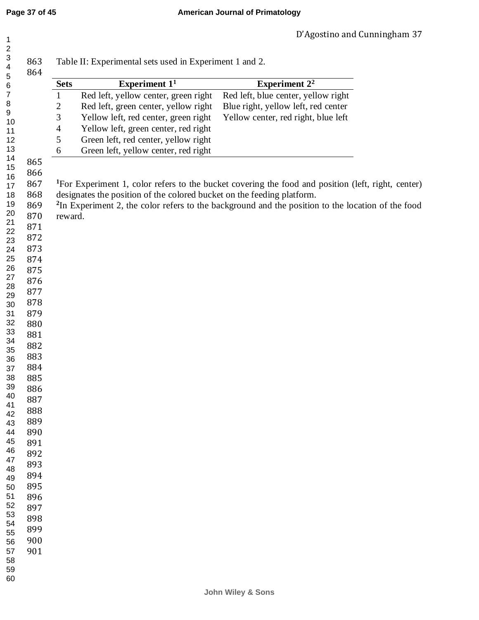| Red left, yellow center, green right<br>Red left, green center, yellow right<br>Yellow left, red center, green right<br>Yellow left, green center, red right<br>Green left, red center, yellow right<br>Green left, yellow center, red right<br><sup>1</sup> For Experiment 1, color refers to the bucket covering the food and position (left, right, center)<br>designates the position of the colored bucket on the feeding platform.<br><sup>2</sup> In Experiment 2, the color refers to the background and the position to the location of the food | Experiment $11$ | Experiment $2^2$                    |
|-----------------------------------------------------------------------------------------------------------------------------------------------------------------------------------------------------------------------------------------------------------------------------------------------------------------------------------------------------------------------------------------------------------------------------------------------------------------------------------------------------------------------------------------------------------|-----------------|-------------------------------------|
|                                                                                                                                                                                                                                                                                                                                                                                                                                                                                                                                                           |                 | Red left, blue center, yellow right |
|                                                                                                                                                                                                                                                                                                                                                                                                                                                                                                                                                           |                 | Blue right, yellow left, red center |
|                                                                                                                                                                                                                                                                                                                                                                                                                                                                                                                                                           |                 | Yellow center, red right, blue left |
|                                                                                                                                                                                                                                                                                                                                                                                                                                                                                                                                                           |                 |                                     |
|                                                                                                                                                                                                                                                                                                                                                                                                                                                                                                                                                           |                 |                                     |
|                                                                                                                                                                                                                                                                                                                                                                                                                                                                                                                                                           |                 |                                     |
|                                                                                                                                                                                                                                                                                                                                                                                                                                                                                                                                                           | reward.         |                                     |
|                                                                                                                                                                                                                                                                                                                                                                                                                                                                                                                                                           |                 |                                     |
|                                                                                                                                                                                                                                                                                                                                                                                                                                                                                                                                                           |                 |                                     |
|                                                                                                                                                                                                                                                                                                                                                                                                                                                                                                                                                           |                 |                                     |
|                                                                                                                                                                                                                                                                                                                                                                                                                                                                                                                                                           |                 |                                     |
|                                                                                                                                                                                                                                                                                                                                                                                                                                                                                                                                                           |                 |                                     |
|                                                                                                                                                                                                                                                                                                                                                                                                                                                                                                                                                           |                 |                                     |
|                                                                                                                                                                                                                                                                                                                                                                                                                                                                                                                                                           |                 |                                     |
|                                                                                                                                                                                                                                                                                                                                                                                                                                                                                                                                                           |                 |                                     |
|                                                                                                                                                                                                                                                                                                                                                                                                                                                                                                                                                           |                 |                                     |
|                                                                                                                                                                                                                                                                                                                                                                                                                                                                                                                                                           |                 |                                     |
|                                                                                                                                                                                                                                                                                                                                                                                                                                                                                                                                                           |                 |                                     |
|                                                                                                                                                                                                                                                                                                                                                                                                                                                                                                                                                           |                 |                                     |
|                                                                                                                                                                                                                                                                                                                                                                                                                                                                                                                                                           |                 |                                     |
|                                                                                                                                                                                                                                                                                                                                                                                                                                                                                                                                                           |                 |                                     |
|                                                                                                                                                                                                                                                                                                                                                                                                                                                                                                                                                           |                 |                                     |
|                                                                                                                                                                                                                                                                                                                                                                                                                                                                                                                                                           |                 |                                     |
|                                                                                                                                                                                                                                                                                                                                                                                                                                                                                                                                                           |                 |                                     |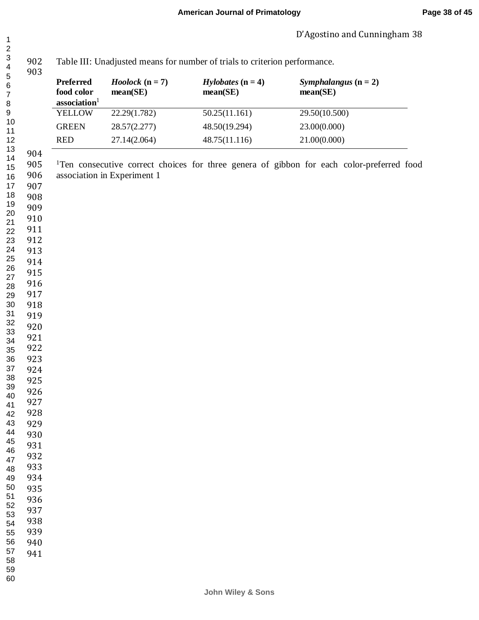| 3<br>4                        | 902<br>903 |                                                     | Table III: Unadjusted means for number of trials to criterion performance. |                                        |                                                                                                       |  |  |  |
|-------------------------------|------------|-----------------------------------------------------|----------------------------------------------------------------------------|----------------------------------------|-------------------------------------------------------------------------------------------------------|--|--|--|
| 5<br>6<br>$\overline{7}$<br>8 |            | Preferred<br>food color<br>association <sup>1</sup> | $Hoolock (n = 7)$<br>mean(SE)                                              | <i>Hylobates</i> $(n = 4)$<br>mean(SE) | Symphalangus $(n = 2)$<br>mean(SE)                                                                    |  |  |  |
| 9                             |            | <b>YELLOW</b>                                       | 22.29(1.782)                                                               | 50.25(11.161)                          | 29.50(10.500)                                                                                         |  |  |  |
| 10                            |            | <b>GREEN</b>                                        | 28.57(2.277)                                                               | 48.50(19.294)                          | 23.00(0.000)                                                                                          |  |  |  |
| 11<br>12                      |            | <b>RED</b>                                          | 27.14(2.064)                                                               | 48.75(11.116)                          | 21.00(0.000)                                                                                          |  |  |  |
| 13                            | 904        |                                                     |                                                                            |                                        |                                                                                                       |  |  |  |
| 14                            | 905        |                                                     |                                                                            |                                        | <sup>1</sup> Ten consecutive correct choices for three genera of gibbon for each color-preferred food |  |  |  |
| 15<br>16                      | 906        |                                                     | association in Experiment 1                                                |                                        |                                                                                                       |  |  |  |
| 17                            | 907        |                                                     |                                                                            |                                        |                                                                                                       |  |  |  |
| 18                            | 908        |                                                     |                                                                            |                                        |                                                                                                       |  |  |  |
| 19                            | 909        |                                                     |                                                                            |                                        |                                                                                                       |  |  |  |
| 20<br>21                      | 910        |                                                     |                                                                            |                                        |                                                                                                       |  |  |  |
| 22                            | 911        |                                                     |                                                                            |                                        |                                                                                                       |  |  |  |
| 23                            | 912        |                                                     |                                                                            |                                        |                                                                                                       |  |  |  |
| 24                            | 913        |                                                     |                                                                            |                                        |                                                                                                       |  |  |  |
| 25<br>26                      | 914        |                                                     |                                                                            |                                        |                                                                                                       |  |  |  |
| 27                            | 915        |                                                     |                                                                            |                                        |                                                                                                       |  |  |  |
| 28                            | 916        |                                                     |                                                                            |                                        |                                                                                                       |  |  |  |
| 29                            | 917        |                                                     |                                                                            |                                        |                                                                                                       |  |  |  |
| 30<br>31                      | 918<br>919 |                                                     |                                                                            |                                        |                                                                                                       |  |  |  |
| 32                            | 920        |                                                     |                                                                            |                                        |                                                                                                       |  |  |  |
| 33                            | 921        |                                                     |                                                                            |                                        |                                                                                                       |  |  |  |
| 34<br>35                      | 922        |                                                     |                                                                            |                                        |                                                                                                       |  |  |  |
| 36                            | 923        |                                                     |                                                                            |                                        |                                                                                                       |  |  |  |
| 37                            | 924        |                                                     |                                                                            |                                        |                                                                                                       |  |  |  |
| 38                            | 925        |                                                     |                                                                            |                                        |                                                                                                       |  |  |  |
| 39                            | 926        |                                                     |                                                                            |                                        |                                                                                                       |  |  |  |
| 40<br>41                      | 927        |                                                     |                                                                            |                                        |                                                                                                       |  |  |  |
| 42                            | 928        |                                                     |                                                                            |                                        |                                                                                                       |  |  |  |
| 43                            | 929        |                                                     |                                                                            |                                        |                                                                                                       |  |  |  |
| 44                            | 930        |                                                     |                                                                            |                                        |                                                                                                       |  |  |  |
| 45<br>46                      | 931        |                                                     |                                                                            |                                        |                                                                                                       |  |  |  |
| 47                            | 932        |                                                     |                                                                            |                                        |                                                                                                       |  |  |  |
| 48                            | 933        |                                                     |                                                                            |                                        |                                                                                                       |  |  |  |
| 49                            | 934        |                                                     |                                                                            |                                        |                                                                                                       |  |  |  |
| 50<br>51                      | 935        |                                                     |                                                                            |                                        |                                                                                                       |  |  |  |
| 52                            | 936        |                                                     |                                                                            |                                        |                                                                                                       |  |  |  |
| 53                            | 937<br>938 |                                                     |                                                                            |                                        |                                                                                                       |  |  |  |
| 54<br>55                      | 939        |                                                     |                                                                            |                                        |                                                                                                       |  |  |  |
| 56                            | 940        |                                                     |                                                                            |                                        |                                                                                                       |  |  |  |
| 57                            | 941        |                                                     |                                                                            |                                        |                                                                                                       |  |  |  |
| 58                            |            |                                                     |                                                                            |                                        |                                                                                                       |  |  |  |
| 59<br>60                      |            |                                                     |                                                                            |                                        |                                                                                                       |  |  |  |
|                               |            |                                                     |                                                                            |                                        |                                                                                                       |  |  |  |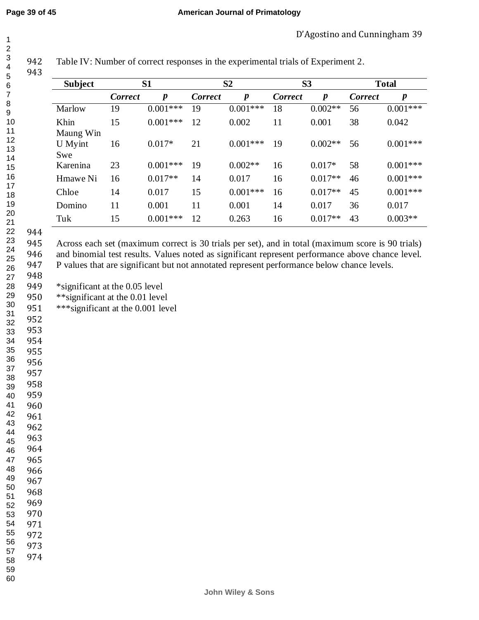| $\overline{\mathbf{4}}$<br>5     | , <u>, ,</u><br>943                                                                                                                                                                                                                                                                                                                    | Tuber TV. Furnitude of correct responses in the experimental trans of Experiment $\mathbb{Z}$ . |                |                  |                |                  |                |                  |                |                  |
|----------------------------------|----------------------------------------------------------------------------------------------------------------------------------------------------------------------------------------------------------------------------------------------------------------------------------------------------------------------------------------|-------------------------------------------------------------------------------------------------|----------------|------------------|----------------|------------------|----------------|------------------|----------------|------------------|
| $\,6$                            |                                                                                                                                                                                                                                                                                                                                        | <b>Subject</b>                                                                                  |                | S1               |                | S <sub>2</sub>   |                | S <sub>3</sub>   |                | <b>Total</b>     |
| 7                                |                                                                                                                                                                                                                                                                                                                                        |                                                                                                 | <b>Correct</b> | $\boldsymbol{p}$ | <b>Correct</b> | $\boldsymbol{p}$ | <b>Correct</b> | $\boldsymbol{p}$ | <b>Correct</b> | $\boldsymbol{p}$ |
| $\, 8$<br>9                      |                                                                                                                                                                                                                                                                                                                                        | Marlow                                                                                          | 19             | $0.001***$       | 19             | $0.001***$       | 18             | $0.002**$        | 56             | $0.001***$       |
| 10<br>11                         |                                                                                                                                                                                                                                                                                                                                        | Khin<br>Maung Win                                                                               | 15             | $0.001***$       | 12             | 0.002            | 11             | 0.001            | 38             | 0.042            |
| 12<br>13<br>14                   |                                                                                                                                                                                                                                                                                                                                        | U Myint<br>Swe                                                                                  | 16             | $0.017*$         | 21             | $0.001***$       | 19             | $0.002**$        | 56             | $0.001***$       |
| 15                               |                                                                                                                                                                                                                                                                                                                                        | Karenina                                                                                        | 23             | $0.001***$       | 19             | $0.002**$        | 16             | $0.017*$         | 58             | $0.001***$       |
| 16                               |                                                                                                                                                                                                                                                                                                                                        | Hmawe Ni                                                                                        | 16             | $0.017**$        | 14             | 0.017            | 16             | $0.017**$        | 46             | $0.001***$       |
| 17<br>18                         |                                                                                                                                                                                                                                                                                                                                        | Chloe                                                                                           | 14             | 0.017            | 15             | $0.001***$       | 16             | $0.017**$        | 45             | $0.001***$       |
| 19                               |                                                                                                                                                                                                                                                                                                                                        | Domino                                                                                          | 11             | 0.001            | 11             | 0.001            | 14             | 0.017            | 36             | 0.017            |
| 20<br>21                         |                                                                                                                                                                                                                                                                                                                                        | Tuk                                                                                             | 15             | $0.001***$       | 12             | 0.263            | 16             | $0.017**$        | 43             | $0.003**$        |
| 22<br>23<br>24<br>25<br>26<br>27 | 944<br>945<br>Across each set (maximum correct is 30 trials per set), and in total (maximum score is 90 trials)<br>946<br>and binomial test results. Values noted as significant represent performance above chance level.<br>947<br>P values that are significant but not annotated represent performance below chance levels.<br>948 |                                                                                                 |                |                  |                |                  |                |                  |                |                  |
| 28                               | 949                                                                                                                                                                                                                                                                                                                                    | *significant at the 0.05 level                                                                  |                |                  |                |                  |                |                  |                |                  |
| 29                               | 950                                                                                                                                                                                                                                                                                                                                    | ** significant at the 0.01 level                                                                |                |                  |                |                  |                |                  |                |                  |
| 30<br>$\sim$                     | 951                                                                                                                                                                                                                                                                                                                                    | *** significant at the 0.001 level                                                              |                |                  |                |                  |                |                  |                |                  |

Table IV: Number of correct responses in the experimental trials of Experiment 2.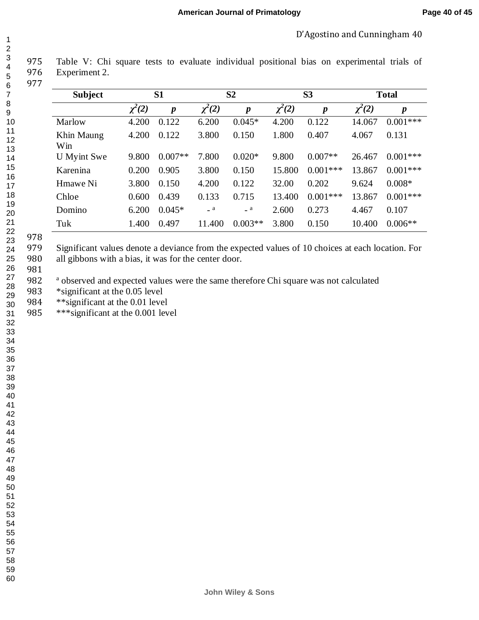| $\overline{ }$             |  |
|----------------------------|--|
|                            |  |
|                            |  |
|                            |  |
|                            |  |
|                            |  |
|                            |  |
|                            |  |
|                            |  |
|                            |  |
|                            |  |
|                            |  |
|                            |  |
|                            |  |
|                            |  |
|                            |  |
|                            |  |
|                            |  |
|                            |  |
|                            |  |
|                            |  |
|                            |  |
|                            |  |
|                            |  |
|                            |  |
|                            |  |
|                            |  |
|                            |  |
|                            |  |
|                            |  |
|                            |  |
|                            |  |
|                            |  |
|                            |  |
|                            |  |
|                            |  |
|                            |  |
|                            |  |
| 34<br>35<br>36<br>37<br>38 |  |
|                            |  |
|                            |  |
|                            |  |
|                            |  |
| 39                         |  |
| 40                         |  |
| 41                         |  |
| 42                         |  |
| 43                         |  |
| 44                         |  |
| 45                         |  |
|                            |  |
| 46                         |  |
| 47                         |  |
| 48                         |  |
| 49                         |  |
| 50                         |  |
| 51                         |  |
|                            |  |
| 52                         |  |
| 53<br>3                    |  |
| 54                         |  |
| 55                         |  |
| 56                         |  |
| .<br>57                    |  |
| 58                         |  |
|                            |  |
| 59                         |  |

 Table V: Chi square tests to evaluate individual positional bias on experimental trials of Experiment 2. 

| <b>Subject</b>    |             | S <sub>1</sub>   |             | S <sub>2</sub>   |             | S <sub>3</sub>   |             | <b>Total</b>     |  |
|-------------------|-------------|------------------|-------------|------------------|-------------|------------------|-------------|------------------|--|
|                   | $\chi^2(2)$ | $\boldsymbol{p}$ | $\chi^2(2)$ | $\boldsymbol{p}$ | $\chi^2(2)$ | $\boldsymbol{p}$ | $\chi^2(2)$ | $\boldsymbol{p}$ |  |
| Marlow            | 4.200       | 0.122            | 6.200       | $0.045*$         | 4.200       | 0.122            | 14.067      | $0.001***$       |  |
| Khin Maung<br>Win | 4.200       | 0.122            | 3.800       | 0.150            | 1.800       | 0.407            | 4.067       | 0.131            |  |
| U Myint Swe       | 9.800       | $0.007**$        | 7.800       | $0.020*$         | 9.800       | $0.007**$        | 26.467      | $0.001***$       |  |
| Karenina          | 0.200       | 0.905            | 3.800       | 0.150            | 15.800      | $0.001***$       | 13.867      | $0.001***$       |  |
| Hmawe Ni          | 3.800       | 0.150            | 4.200       | 0.122            | 32.00       | 0.202            | 9.624       | $0.008*$         |  |
| Chloe             | 0.600       | 0.439            | 0.133       | 0.715            | 13.400      | $0.001***$       | 13.867      | $0.001***$       |  |
| Domino            | 6.200       | $0.045*$         | a           | a                | 2.600       | 0.273            | 4.467       | 0.107            |  |
| Tuk               | 1.400       | 0.497            | 11.400      | $0.003**$        | 3.800       | 0.150            | 10.400      | $0.006**$        |  |

 Significant values denote a deviance from the expected values of 10 choices at each location. For 980 all gibbons with a bias, it was for the center door.

982 <sup>a</sup> observed and expected values were the same therefore Chi square was not calculated

983 \*significant at the 0.05 level

984 \*\* significant at the 0.01 level

985 \*\*\* significant at the 0.001 level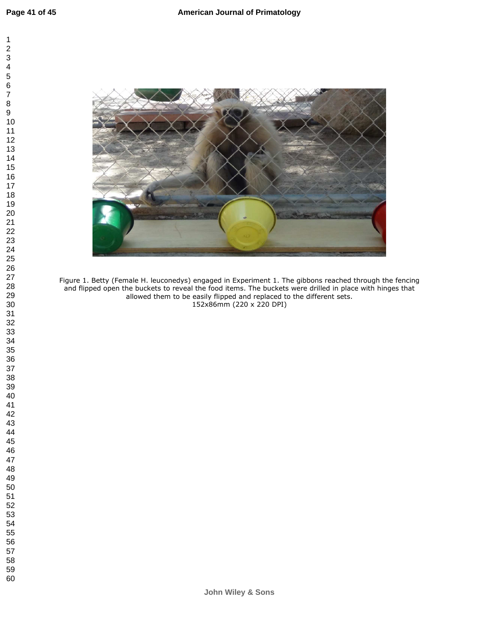



Figure 1. Betty (Female H. leuconedys) engaged in Experiment 1. The gibbons reached through the fencing and flipped open the buckets to reveal the food items. The buckets were drilled in place with hinges that allowed them to be easily flipped and replaced to the different sets. 152x86mm (220 x 220 DPI)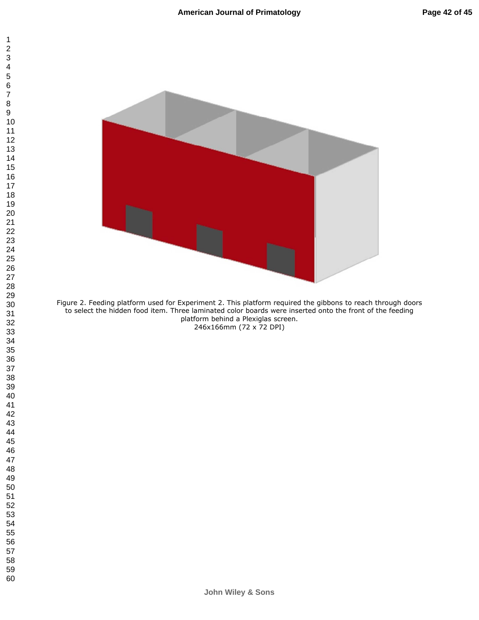



Figure 2. Feeding platform used for Experiment 2. This platform required the gibbons to reach through doors to select the hidden food item. Three laminated color boards were inserted onto the front of the feeding platform behind a Plexiglas screen. 246x166mm (72 x 72 DPI)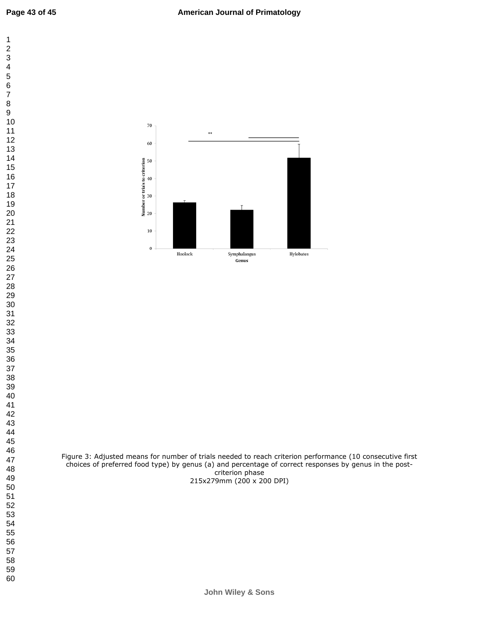

Figure 3: Adjusted means for number of trials needed to reach criterion performance (10 consecutive first choices of preferred food type) by genus (a) and percentage of correct responses by genus in the postcriterion phase 215x279mm (200 x 200 DPI)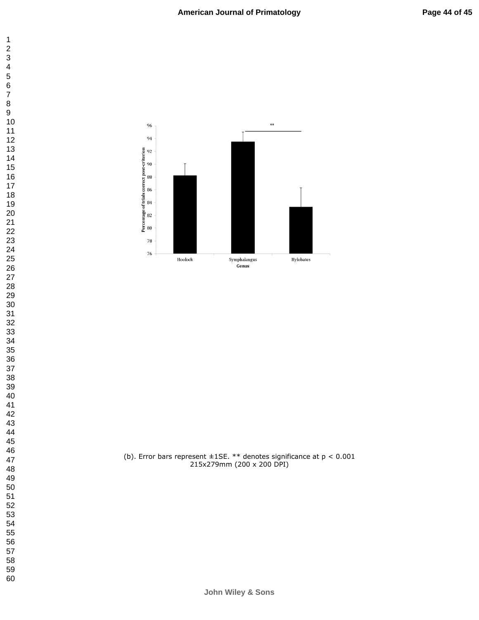

(b). Error bars represent  $\pm$ 1SE. \*\* denotes significance at  $p < 0.001$ 215x279mm (200 x 200 DPI)